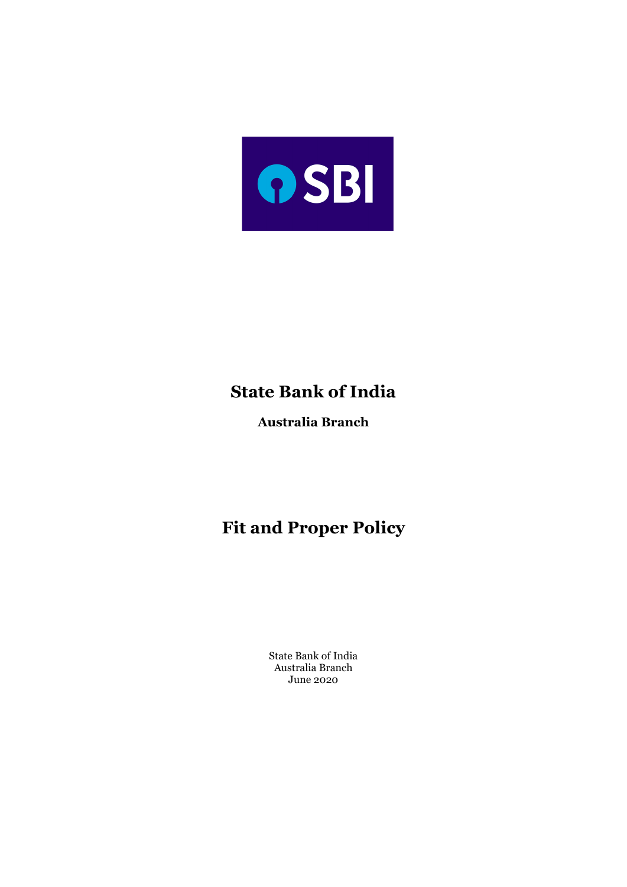

# **State Bank of India**

**Australia Branch**

# **Fit and Proper Policy**

State Bank of India Australia Branch June 2020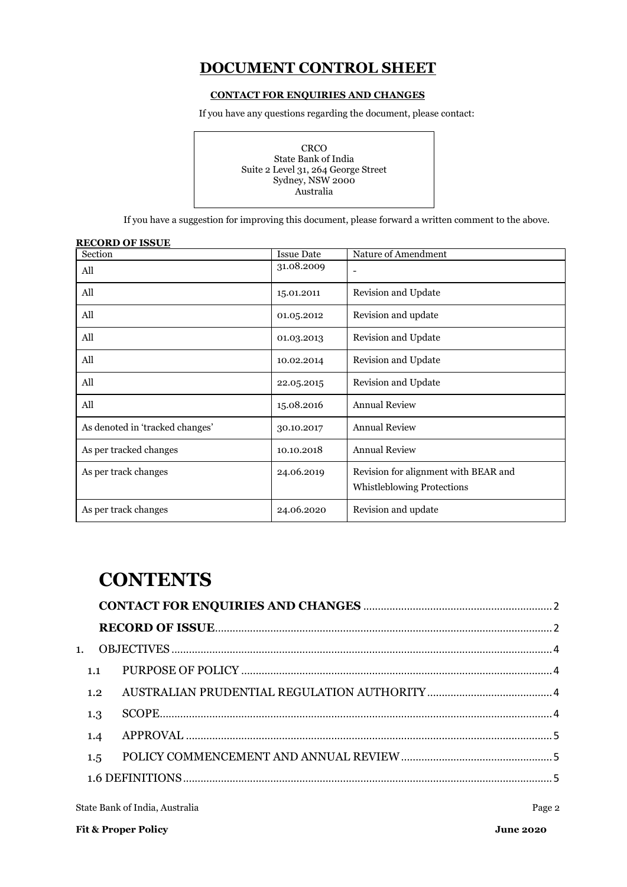## **DOCUMENT CONTROL SHEET**

#### **CONTACT FOR ENQUIRIES AND CHANGES**

<span id="page-1-0"></span>If you have any questions regarding the document, please contact:

| CRCO<br>State Bank of India<br>Suite 2 Level 31, 264 George Street<br>Sydney, NSW 2000<br>Australia |
|-----------------------------------------------------------------------------------------------------|
|-----------------------------------------------------------------------------------------------------|

If you have a suggestion for improving this document, please forward a written comment to the above.

<span id="page-1-1"></span>

| <u>RECORD OF ISSUE</u>          |                   |                                                                           |
|---------------------------------|-------------------|---------------------------------------------------------------------------|
| Section                         | <b>Issue Date</b> | Nature of Amendment                                                       |
| All                             | 31.08.2009        |                                                                           |
| All                             | 15.01.2011        | Revision and Update                                                       |
| All                             | 01.05.2012        | Revision and update                                                       |
| All                             | 01.03.2013        | Revision and Update                                                       |
| All                             | 10.02.2014        | Revision and Update                                                       |
| All                             | 22.05.2015        | Revision and Update                                                       |
| All                             | 15.08.2016        | <b>Annual Review</b>                                                      |
| As denoted in 'tracked changes' | 30.10.2017        | <b>Annual Review</b>                                                      |
| As per tracked changes          | 10.10.2018        | <b>Annual Review</b>                                                      |
| As per track changes            | 24.06.2019        | Revision for alignment with BEAR and<br><b>Whistleblowing Protections</b> |
| As per track changes            | 24.06.2020        | Revision and update                                                       |

# **CONTENTS**

| 1.  |  |
|-----|--|
|     |  |
| 1.2 |  |
| 1.3 |  |
| 1.4 |  |
| 1.5 |  |
|     |  |

State Bank of India, Australia Page 2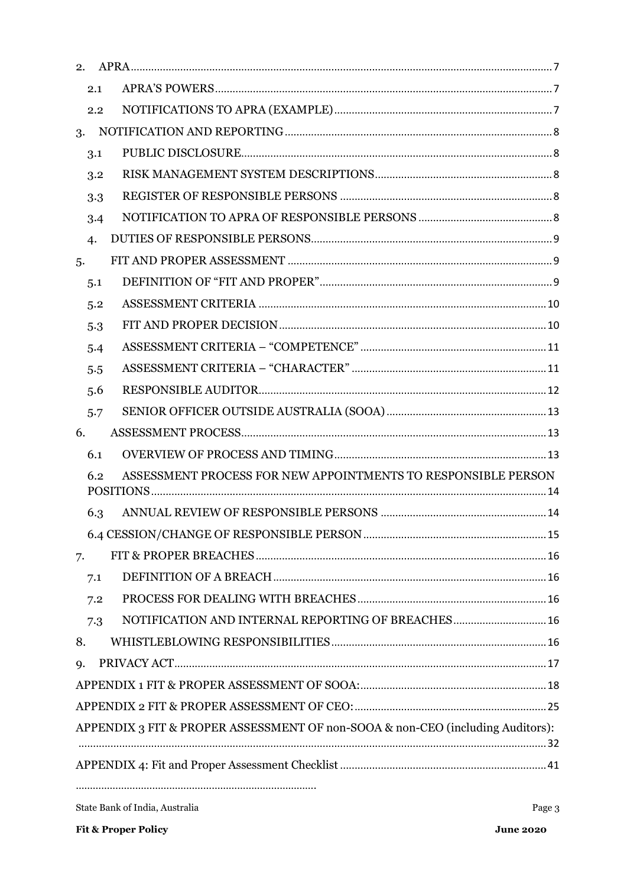|    | 2.1              |                                                                                |  |
|----|------------------|--------------------------------------------------------------------------------|--|
|    | 2.2              |                                                                                |  |
| 3. |                  |                                                                                |  |
|    | 3.1              |                                                                                |  |
|    | 3.2              |                                                                                |  |
|    | 3.3              |                                                                                |  |
|    | 3.4              |                                                                                |  |
|    | $\boldsymbol{4}$ |                                                                                |  |
| 5. |                  |                                                                                |  |
|    | 5.1              |                                                                                |  |
|    | 5.2              |                                                                                |  |
|    | 5.3              |                                                                                |  |
|    | 5.4              |                                                                                |  |
|    | 5.5              |                                                                                |  |
|    | 5.6              |                                                                                |  |
|    | 5.7              |                                                                                |  |
| 6. |                  |                                                                                |  |
|    | 6.1              |                                                                                |  |
|    | 6.2              | ASSESSMENT PROCESS FOR NEW APPOINTMENTS TO RESPONSIBLE PERSON                  |  |
|    |                  |                                                                                |  |
|    | 6.3              |                                                                                |  |
|    |                  |                                                                                |  |
| 7. |                  |                                                                                |  |
|    | 7.1              |                                                                                |  |
|    | 7.2              |                                                                                |  |
|    | 7.3              | NOTIFICATION AND INTERNAL REPORTING OF BREACHES 16                             |  |
| 8. |                  |                                                                                |  |
| 9. |                  |                                                                                |  |
|    |                  |                                                                                |  |
|    |                  |                                                                                |  |
|    |                  | APPENDIX 3 FIT & PROPER ASSESSMENT OF non-SOOA & non-CEO (including Auditors): |  |
|    |                  |                                                                                |  |
|    |                  |                                                                                |  |
|    |                  |                                                                                |  |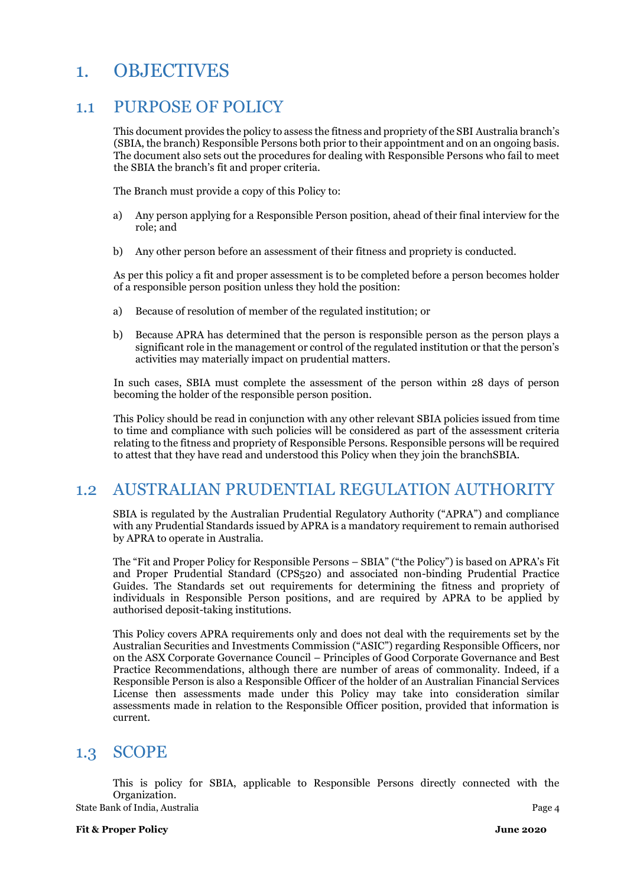# <span id="page-3-0"></span>1. OBJECTIVES

## <span id="page-3-1"></span>1.1 PURPOSE OF POLICY

This document provides the policy to assess the fitness and propriety of the SBI Australia branch's (SBIA, the branch) Responsible Persons both prior to their appointment and on an ongoing basis. The document also sets out the procedures for dealing with Responsible Persons who fail to meet the SBIA the branch's fit and proper criteria.

The Branch must provide a copy of this Policy to:

- a) Any person applying for a Responsible Person position, ahead of their final interview for the role; and
- b) Any other person before an assessment of their fitness and propriety is conducted.

As per this policy a fit and proper assessment is to be completed before a person becomes holder of a responsible person position unless they hold the position:

- a) Because of resolution of member of the regulated institution; or
- b) Because APRA has determined that the person is responsible person as the person plays a significant role in the management or control of the regulated institution or that the person's activities may materially impact on prudential matters.

In such cases, SBIA must complete the assessment of the person within 28 days of person becoming the holder of the responsible person position.

This Policy should be read in conjunction with any other relevant SBIA policies issued from time to time and compliance with such policies will be considered as part of the assessment criteria relating to the fitness and propriety of Responsible Persons. Responsible persons will be required to attest that they have read and understood this Policy when they join the branchSBIA.

## <span id="page-3-2"></span>1.2 AUSTRALIAN PRUDENTIAL REGULATION AUTHORITY

SBIA is regulated by the Australian Prudential Regulatory Authority ("APRA") and compliance with any Prudential Standards issued by APRA is a mandatory requirement to remain authorised by APRA to operate in Australia.

The "Fit and Proper Policy for Responsible Persons – SBIA" ("the Policy") is based on APRA's Fit and Proper Prudential Standard (CPS520) and associated non-binding Prudential Practice Guides. The Standards set out requirements for determining the fitness and propriety of individuals in Responsible Person positions, and are required by APRA to be applied by authorised deposit-taking institutions.

This Policy covers APRA requirements only and does not deal with the requirements set by the Australian Securities and Investments Commission ("ASIC") regarding Responsible Officers, nor on the ASX Corporate Governance Council – Principles of Good Corporate Governance and Best Practice Recommendations, although there are number of areas of commonality. Indeed, if a Responsible Person is also a Responsible Officer of the holder of an Australian Financial Services License then assessments made under this Policy may take into consideration similar assessments made in relation to the Responsible Officer position, provided that information is current.

## <span id="page-3-3"></span>1.3 SCOPE

State Bank of India, Australia Page 4 This is policy for SBIA, applicable to Responsible Persons directly connected with the Organization.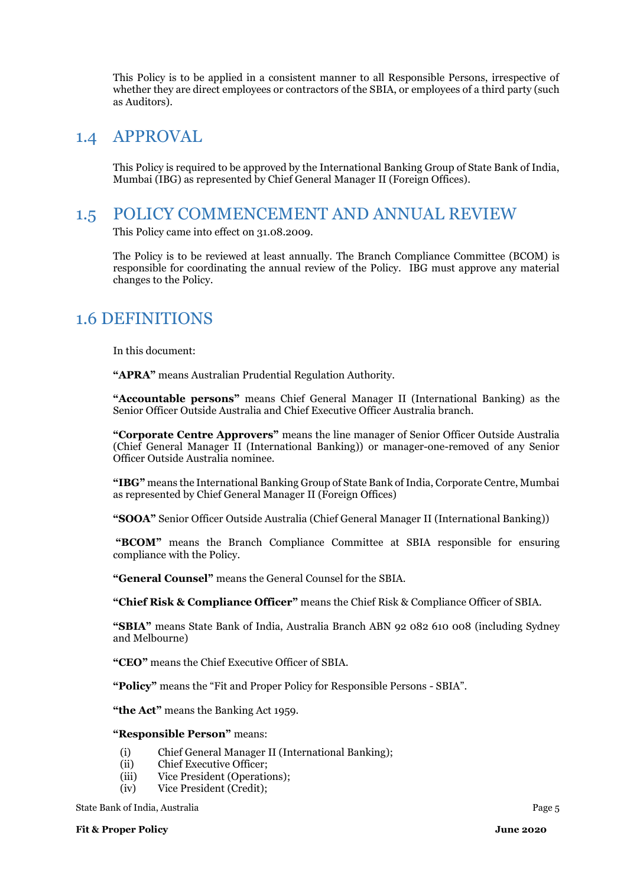This Policy is to be applied in a consistent manner to all Responsible Persons, irrespective of whether they are direct employees or contractors of the SBIA, or employees of a third party (such as Auditors).

## <span id="page-4-0"></span>1.4 APPROVAL

This Policy is required to be approved by the International Banking Group of State Bank of India, Mumbai (IBG) as represented by Chief General Manager II (Foreign Offices).

## <span id="page-4-1"></span>1.5 POLICY COMMENCEMENT AND ANNUAL REVIEW

This Policy came into effect on 31.08.2009.

The Policy is to be reviewed at least annually. The Branch Compliance Committee (BCOM) is responsible for coordinating the annual review of the Policy. IBG must approve any material changes to the Policy.

## <span id="page-4-2"></span>1.6 DEFINITIONS

In this document:

**"APRA"** means Australian Prudential Regulation Authority.

**"Accountable persons"** means Chief General Manager II (International Banking) as the Senior Officer Outside Australia and Chief Executive Officer Australia branch.

**"Corporate Centre Approvers"** means the line manager of Senior Officer Outside Australia (Chief General Manager II (International Banking)) or manager-one-removed of any Senior Officer Outside Australia nominee.

**"IBG"** means the International Banking Group of State Bank of India, Corporate Centre, Mumbai as represented by Chief General Manager II (Foreign Offices)

**"SOOA"** Senior Officer Outside Australia (Chief General Manager II (International Banking))

**"BCOM"** means the Branch Compliance Committee at SBIA responsible for ensuring compliance with the Policy.

**"General Counsel"** means the General Counsel for the SBIA.

**"Chief Risk & Compliance Officer"** means the Chief Risk & Compliance Officer of SBIA.

**"SBIA"** means State Bank of India, Australia Branch ABN 92 082 610 008 (including Sydney and Melbourne)

**"CEO"** means the Chief Executive Officer of SBIA.

**"Policy"** means the "Fit and Proper Policy for Responsible Persons - SBIA".

**"the Act"** means the Banking Act 1959.

#### **"Responsible Person"** means:

- (i) Chief General Manager II (International Banking);
- (ii) Chief Executive Officer;
- (iii) Vice President (Operations);
- (iv) Vice President (Credit);

State Bank of India, Australia Page 5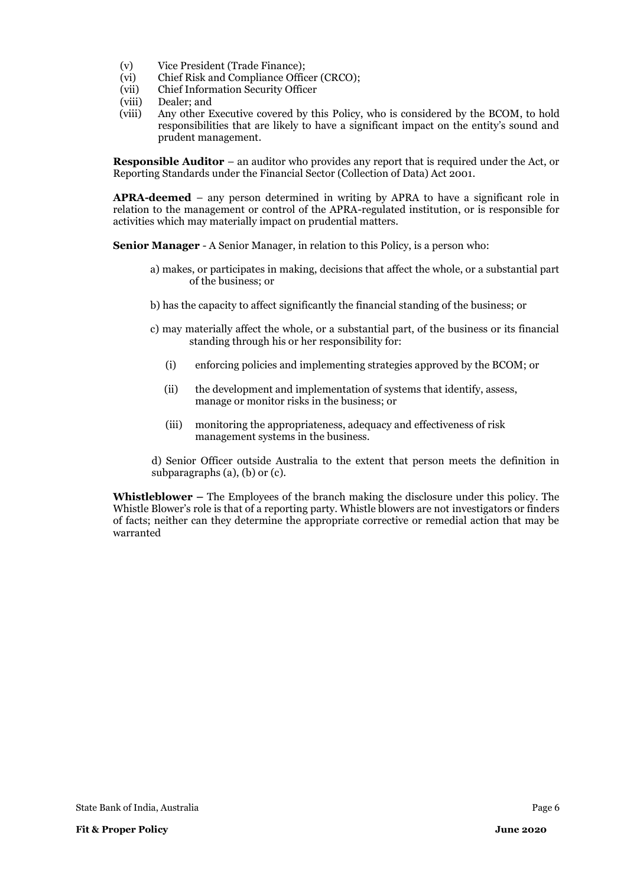- (v) Vice President (Trade Finance);
- (vi) Chief Risk and Compliance Officer (CRCO);
- (vii) Chief Information Security Officer
- (viii) Dealer; and
- (viii) Any other Executive covered by this Policy, who is considered by the BCOM, to hold responsibilities that are likely to have a significant impact on the entity's sound and prudent management.

**Responsible Auditor** – an auditor who provides any report that is required under the Act, or Reporting Standards under the Financial Sector (Collection of Data) Act 2001.

**APRA-deemed** – any person determined in writing by APRA to have a significant role in relation to the management or control of the APRA-regulated institution, or is responsible for activities which may materially impact on prudential matters.

**Senior Manager** - A Senior Manager, in relation to this Policy, is a person who:

- a) makes, or participates in making, decisions that affect the whole, or a substantial part of the business; or
- b) has the capacity to affect significantly the financial standing of the business; or
- c) may materially affect the whole, or a substantial part, of the business or its financial standing through his or her responsibility for:
	- (i) enforcing policies and implementing strategies approved by the BCOM; or
	- (ii) the development and implementation of systems that identify, assess, manage or monitor risks in the business; or
	- (iii) monitoring the appropriateness, adequacy and effectiveness of risk management systems in the business.

d) Senior Officer outside Australia to the extent that person meets the definition in subparagraphs (a), (b) or (c).

**Whistleblower –** The Employees of the branch making the disclosure under this policy. The Whistle Blower's role is that of a reporting party. Whistle blowers are not investigators or finders of facts; neither can they determine the appropriate corrective or remedial action that may be warranted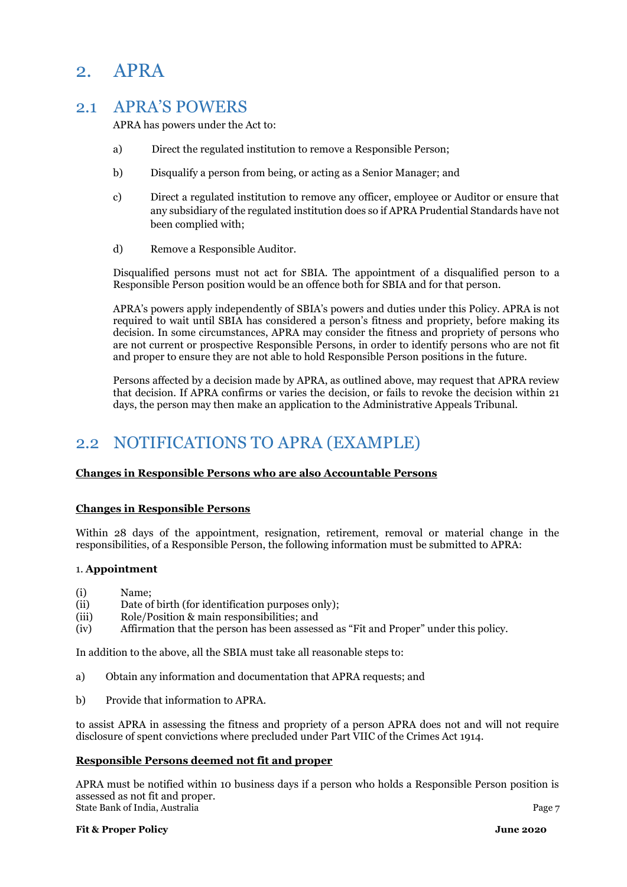# <span id="page-6-0"></span>2. APRA

## <span id="page-6-1"></span>2.1 APRA'S POWERS

APRA has powers under the Act to:

- a) Direct the regulated institution to remove a Responsible Person;
- b) Disqualify a person from being, or acting as a Senior Manager; and
- c) Direct a regulated institution to remove any officer, employee or Auditor or ensure that any subsidiary of the regulated institution does so if APRA Prudential Standards have not been complied with;
- d) Remove a Responsible Auditor.

Disqualified persons must not act for SBIA. The appointment of a disqualified person to a Responsible Person position would be an offence both for SBIA and for that person.

APRA's powers apply independently of SBIA's powers and duties under this Policy. APRA is not required to wait until SBIA has considered a person's fitness and propriety, before making its decision. In some circumstances, APRA may consider the fitness and propriety of persons who are not current or prospective Responsible Persons, in order to identify persons who are not fit and proper to ensure they are not able to hold Responsible Person positions in the future.

Persons affected by a decision made by APRA, as outlined above, may request that APRA review that decision. If APRA confirms or varies the decision, or fails to revoke the decision within 21 days, the person may then make an application to the Administrative Appeals Tribunal.

# <span id="page-6-2"></span>2.2 NOTIFICATIONS TO APRA (EXAMPLE)

#### **Changes in Responsible Persons who are also Accountable Persons**

#### **Changes in Responsible Persons**

Within 28 days of the appointment, resignation, retirement, removal or material change in the responsibilities, of a Responsible Person, the following information must be submitted to APRA:

#### 1. **Appointment**

- (i) Name;
- (ii) Date of birth (for identification purposes only);
- (iii) Role/Position & main responsibilities; and
- (iv) Affirmation that the person has been assessed as "Fit and Proper" under this policy.

In addition to the above, all the SBIA must take all reasonable steps to:

- a) Obtain any information and documentation that APRA requests; and
- b) Provide that information to APRA.

to assist APRA in assessing the fitness and propriety of a person APRA does not and will not require disclosure of spent convictions where precluded under Part VIIC of the Crimes Act 1914.

#### **Responsible Persons deemed not fit and proper**

State Bank of India, Australia **Page 7** APRA must be notified within 10 business days if a person who holds a Responsible Person position is assessed as not fit and proper.

**Fit & Proper Policy June 2020**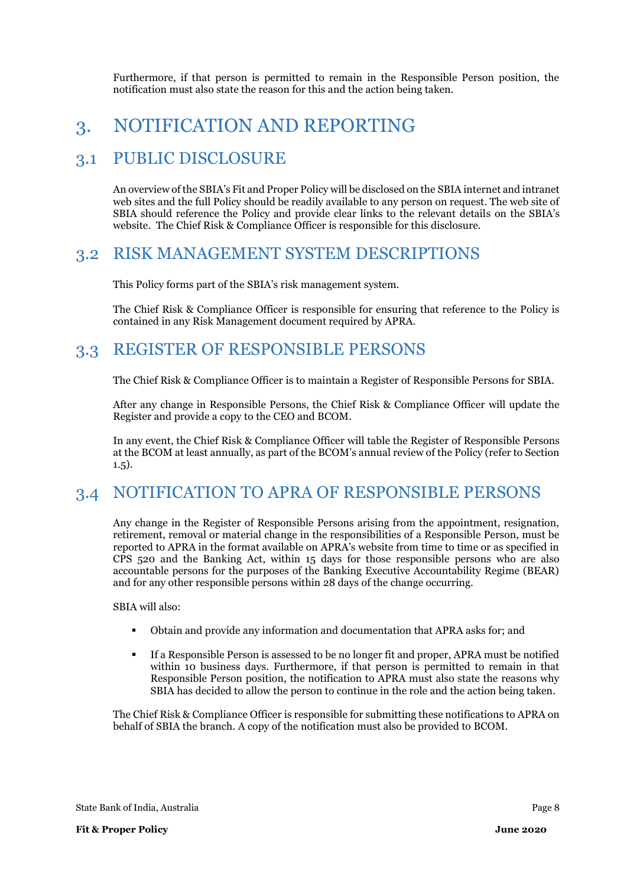Furthermore, if that person is permitted to remain in the Responsible Person position, the notification must also state the reason for this and the action being taken.

# <span id="page-7-0"></span>3. NOTIFICATION AND REPORTING

## <span id="page-7-1"></span>3.1 PUBLIC DISCLOSURE

An overview of the SBIA's Fit and Proper Policy will be disclosed on the SBIA internet and intranet web sites and the full Policy should be readily available to any person on request. The web site of SBIA should reference the Policy and provide clear links to the relevant details on the SBIA's website. The Chief Risk & Compliance Officer is responsible for this disclosure.

## <span id="page-7-2"></span>3.2 RISK MANAGEMENT SYSTEM DESCRIPTIONS

This Policy forms part of the SBIA's risk management system.

The Chief Risk & Compliance Officer is responsible for ensuring that reference to the Policy is contained in any Risk Management document required by APRA.

## <span id="page-7-3"></span>3.3 REGISTER OF RESPONSIBLE PERSONS

The Chief Risk & Compliance Officer is to maintain a Register of Responsible Persons for SBIA.

After any change in Responsible Persons, the Chief Risk & Compliance Officer will update the Register and provide a copy to the CEO and BCOM.

In any event, the Chief Risk & Compliance Officer will table the Register of Responsible Persons at the BCOM at least annually, as part of the BCOM's annual review of the Policy (refer to Section 1.5).

# <span id="page-7-4"></span>3.4 NOTIFICATION TO APRA OF RESPONSIBLE PERSONS

Any change in the Register of Responsible Persons arising from the appointment, resignation, retirement, removal or material change in the responsibilities of a Responsible Person, must be reported to APRA in the format available on APRA's website from time to time or as specified in CPS 520 and the Banking Act, within 15 days for those responsible persons who are also accountable persons for the purposes of the Banking Executive Accountability Regime (BEAR) and for any other responsible persons within 28 days of the change occurring.

SBIA will also:

- Obtain and provide any information and documentation that APRA asks for: and
- If a Responsible Person is assessed to be no longer fit and proper, APRA must be notified within 10 business days. Furthermore, if that person is permitted to remain in that Responsible Person position, the notification to APRA must also state the reasons why SBIA has decided to allow the person to continue in the role and the action being taken.

The Chief Risk & Compliance Officer is responsible for submitting these notifications to APRA on behalf of SBIA the branch. A copy of the notification must also be provided to BCOM.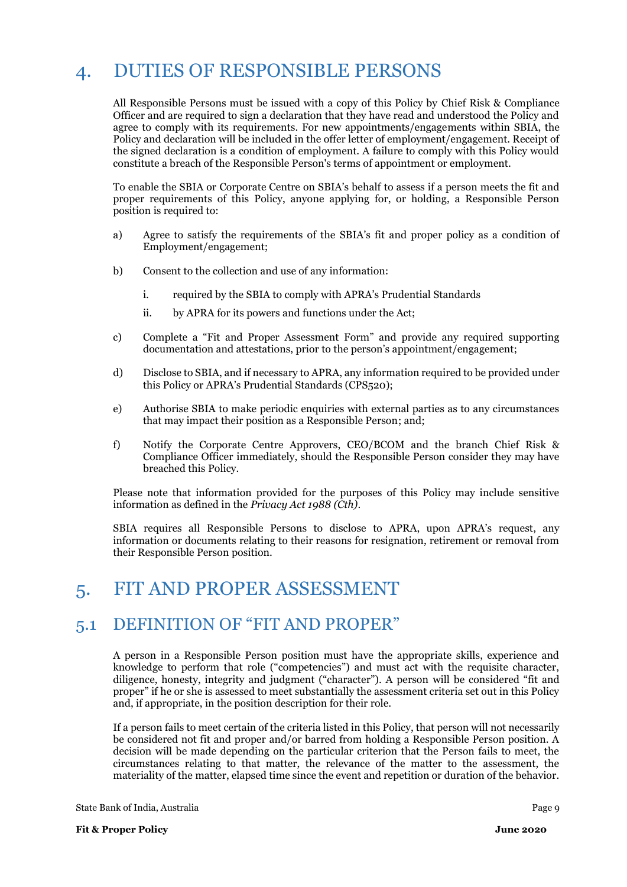# <span id="page-8-0"></span>4. DUTIES OF RESPONSIBLE PERSONS

All Responsible Persons must be issued with a copy of this Policy by Chief Risk & Compliance Officer and are required to sign a declaration that they have read and understood the Policy and agree to comply with its requirements. For new appointments/engagements within SBIA, the Policy and declaration will be included in the offer letter of employment/engagement. Receipt of the signed declaration is a condition of employment. A failure to comply with this Policy would constitute a breach of the Responsible Person's terms of appointment or employment.

To enable the SBIA or Corporate Centre on SBIA's behalf to assess if a person meets the fit and proper requirements of this Policy, anyone applying for, or holding, a Responsible Person position is required to:

- a) Agree to satisfy the requirements of the SBIA's fit and proper policy as a condition of Employment/engagement;
- b) Consent to the collection and use of any information:
	- i. required by the SBIA to comply with APRA's Prudential Standards
	- ii. by APRA for its powers and functions under the Act;
- c) Complete a "Fit and Proper Assessment Form" and provide any required supporting documentation and attestations, prior to the person's appointment/engagement;
- d) Disclose to SBIA, and if necessary to APRA, any information required to be provided under this Policy or APRA's Prudential Standards (CPS520);
- e) Authorise SBIA to make periodic enquiries with external parties as to any circumstances that may impact their position as a Responsible Person; and;
- f) Notify the Corporate Centre Approvers, CEO/BCOM and the branch Chief Risk & Compliance Officer immediately, should the Responsible Person consider they may have breached this Policy.

Please note that information provided for the purposes of this Policy may include sensitive information as defined in the *Privacy Act 1988 (Cth)*.

SBIA requires all Responsible Persons to disclose to APRA, upon APRA's request, any information or documents relating to their reasons for resignation, retirement or removal from their Responsible Person position.

# <span id="page-8-1"></span>5. FIT AND PROPER ASSESSMENT

## <span id="page-8-2"></span>5.1 DEFINITION OF "FIT AND PROPER"

A person in a Responsible Person position must have the appropriate skills, experience and knowledge to perform that role ("competencies") and must act with the requisite character, diligence, honesty, integrity and judgment ("character"). A person will be considered "fit and proper" if he or she is assessed to meet substantially the assessment criteria set out in this Policy and, if appropriate, in the position description for their role.

If a person fails to meet certain of the criteria listed in this Policy, that person will not necessarily be considered not fit and proper and/or barred from holding a Responsible Person position. A decision will be made depending on the particular criterion that the Person fails to meet, the circumstances relating to that matter, the relevance of the matter to the assessment, the materiality of the matter, elapsed time since the event and repetition or duration of the behavior.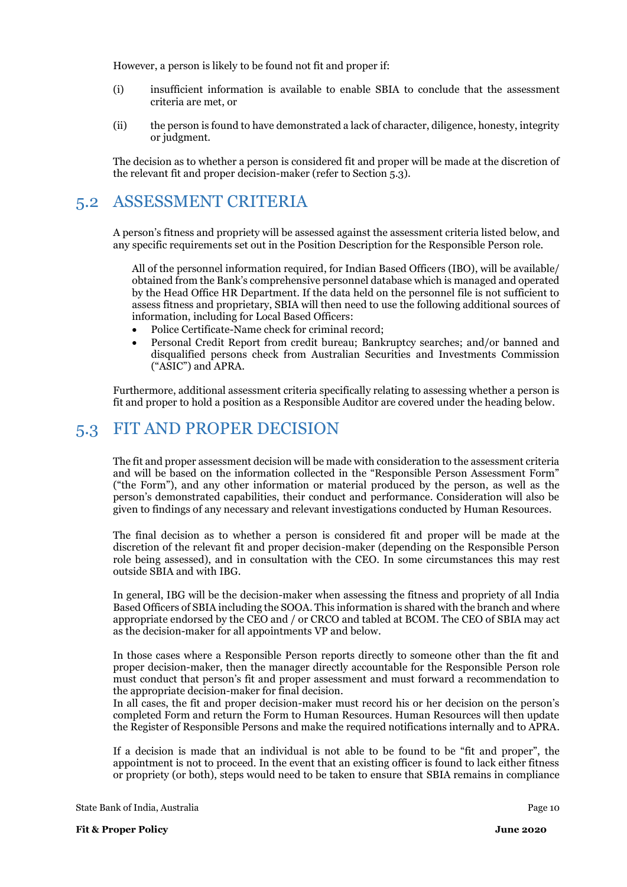However, a person is likely to be found not fit and proper if:

- (i) insufficient information is available to enable SBIA to conclude that the assessment criteria are met, or
- (ii) the person is found to have demonstrated a lack of character, diligence, honesty, integrity or judgment.

The decision as to whether a person is considered fit and proper will be made at the discretion of the relevant fit and proper decision-maker (refer to Section 5.3).

## <span id="page-9-0"></span>5.2 ASSESSMENT CRITERIA

A person's fitness and propriety will be assessed against the assessment criteria listed below, and any specific requirements set out in the Position Description for the Responsible Person role.

All of the personnel information required, for Indian Based Officers (IBO), will be available/ obtained from the Bank's comprehensive personnel database which is managed and operated by the Head Office HR Department. If the data held on the personnel file is not sufficient to assess fitness and proprietary, SBIA will then need to use the following additional sources of information, including for Local Based Officers:

- Police Certificate-Name check for criminal record;
- Personal Credit Report from credit bureau; Bankruptcy searches; and/or banned and disqualified persons check from Australian Securities and Investments Commission ("ASIC") and APRA.

Furthermore, additional assessment criteria specifically relating to assessing whether a person is fit and proper to hold a position as a Responsible Auditor are covered under the heading below.

## <span id="page-9-1"></span>5.3 FIT AND PROPER DECISION

The fit and proper assessment decision will be made with consideration to the assessment criteria and will be based on the information collected in the "Responsible Person Assessment Form" ("the Form"), and any other information or material produced by the person, as well as the person's demonstrated capabilities, their conduct and performance. Consideration will also be given to findings of any necessary and relevant investigations conducted by Human Resources.

The final decision as to whether a person is considered fit and proper will be made at the discretion of the relevant fit and proper decision-maker (depending on the Responsible Person role being assessed), and in consultation with the CEO. In some circumstances this may rest outside SBIA and with IBG.

In general, IBG will be the decision-maker when assessing the fitness and propriety of all India Based Officers of SBIA including the SOOA. This information is shared with the branch and where appropriate endorsed by the CEO and / or CRCO and tabled at BCOM. The CEO of SBIA may act as the decision-maker for all appointments VP and below.

In those cases where a Responsible Person reports directly to someone other than the fit and proper decision-maker, then the manager directly accountable for the Responsible Person role must conduct that person's fit and proper assessment and must forward a recommendation to the appropriate decision-maker for final decision.

In all cases, the fit and proper decision-maker must record his or her decision on the person's completed Form and return the Form to Human Resources. Human Resources will then update the Register of Responsible Persons and make the required notifications internally and to APRA.

If a decision is made that an individual is not able to be found to be "fit and proper", the appointment is not to proceed. In the event that an existing officer is found to lack either fitness or propriety (or both), steps would need to be taken to ensure that SBIA remains in compliance

State Bank of India, Australia Page 10 and the Control of Table 10 and the Page 10 and the Page 10 and the Page 10 and the Page 10 and the Page 10 and the Page 10 and the Page 10 and the Page 10 and the Page 10 and the Pag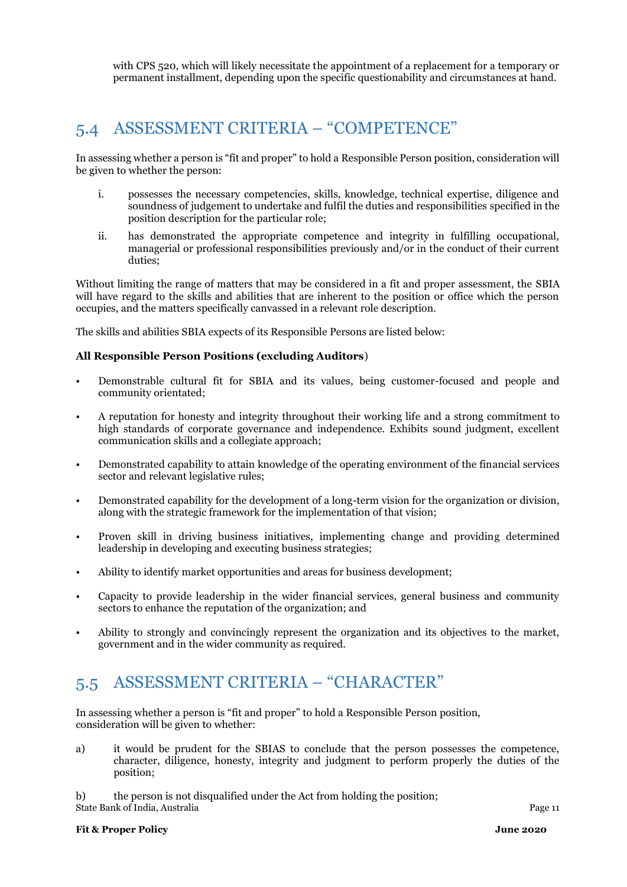with CPS 520, which will likely necessitate the appointment of a replacement for a temporary or permanent installment, depending upon the specific questionability and circumstances at hand.

# <span id="page-10-0"></span>5.4 ASSESSMENT CRITERIA – "COMPETENCE"

In assessing whether a person is "fit and proper" to hold a Responsible Person position, consideration will be given to whether the person:

- i. possesses the necessary competencies, skills, knowledge, technical expertise, diligence and soundness of judgement to undertake and fulfil the duties and responsibilities specified in the position description for the particular role;
- ii. has demonstrated the appropriate competence and integrity in fulfilling occupational, managerial or professional responsibilities previously and/or in the conduct of their current duties;

Without limiting the range of matters that may be considered in a fit and proper assessment, the SBIA will have regard to the skills and abilities that are inherent to the position or office which the person occupies, and the matters specifically canvassed in a relevant role description.

The skills and abilities SBIA expects of its Responsible Persons are listed below:

#### **All Responsible Person Positions (excluding Auditors**)

- Demonstrable cultural fit for SBIA and its values, being customer-focused and people and community orientated;
- A reputation for honesty and integrity throughout their working life and a strong commitment to high standards of corporate governance and independence. Exhibits sound judgment, excellent communication skills and a collegiate approach;
- Demonstrated capability to attain knowledge of the operating environment of the financial services sector and relevant legislative rules;
- Demonstrated capability for the development of a long-term vision for the organization or division, along with the strategic framework for the implementation of that vision;
- Proven skill in driving business initiatives, implementing change and providing determined leadership in developing and executing business strategies;
- Ability to identify market opportunities and areas for business development;
- Capacity to provide leadership in the wider financial services, general business and community sectors to enhance the reputation of the organization; and
- Ability to strongly and convincingly represent the organization and its objectives to the market, government and in the wider community as required.

# <span id="page-10-1"></span>5.5 ASSESSMENT CRITERIA – "CHARACTER"

In assessing whether a person is "fit and proper" to hold a Responsible Person position, consideration will be given to whether:

a) it would be prudent for the SBIAS to conclude that the person possesses the competence, character, diligence, honesty, integrity and judgment to perform properly the duties of the position;

State Bank of India, Australia Page 11 b) the person is not disqualified under the Act from holding the position;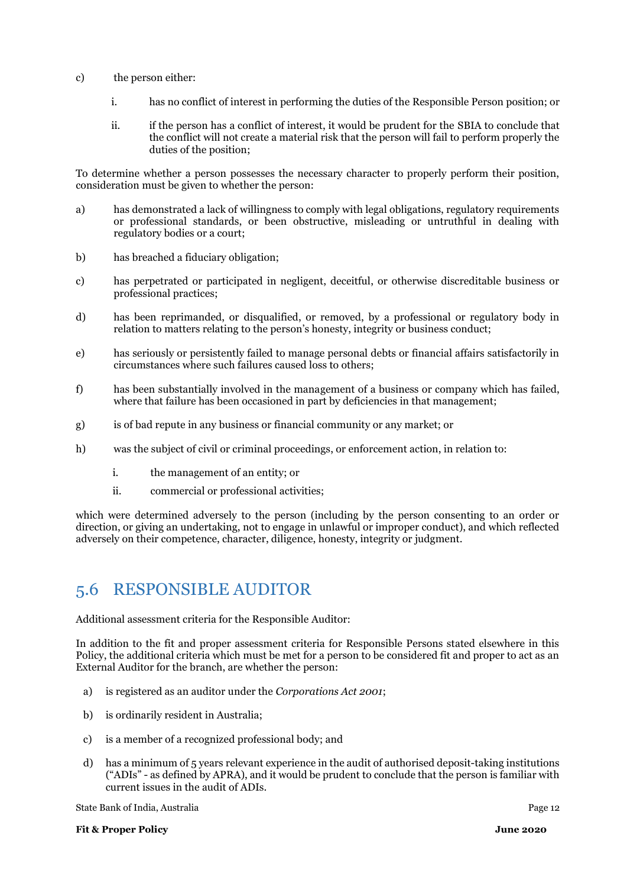- c) the person either:
	- i. has no conflict of interest in performing the duties of the Responsible Person position; or
	- ii. if the person has a conflict of interest, it would be prudent for the SBIA to conclude that the conflict will not create a material risk that the person will fail to perform properly the duties of the position;

To determine whether a person possesses the necessary character to properly perform their position, consideration must be given to whether the person:

- a) has demonstrated a lack of willingness to comply with legal obligations, regulatory requirements or professional standards, or been obstructive, misleading or untruthful in dealing with regulatory bodies or a court;
- b) has breached a fiduciary obligation;
- c) has perpetrated or participated in negligent, deceitful, or otherwise discreditable business or professional practices;
- d) has been reprimanded, or disqualified, or removed, by a professional or regulatory body in relation to matters relating to the person's honesty, integrity or business conduct;
- e) has seriously or persistently failed to manage personal debts or financial affairs satisfactorily in circumstances where such failures caused loss to others;
- f) has been substantially involved in the management of a business or company which has failed, where that failure has been occasioned in part by deficiencies in that management:
- g) is of bad repute in any business or financial community or any market; or
- h) was the subject of civil or criminal proceedings, or enforcement action, in relation to:
	- i. the management of an entity; or
	- ii. commercial or professional activities;

which were determined adversely to the person (including by the person consenting to an order or direction, or giving an undertaking, not to engage in unlawful or improper conduct), and which reflected adversely on their competence, character, diligence, honesty, integrity or judgment.

## <span id="page-11-0"></span>5.6 RESPONSIBLE AUDITOR

Additional assessment criteria for the Responsible Auditor:

In addition to the fit and proper assessment criteria for Responsible Persons stated elsewhere in this Policy, the additional criteria which must be met for a person to be considered fit and proper to act as an External Auditor for the branch, are whether the person:

- a) is registered as an auditor under the *Corporations Act 2001*;
- b) is ordinarily resident in Australia;
- c) is a member of a recognized professional body; and
- d) has a minimum of 5 years relevant experience in the audit of authorised deposit-taking institutions ("ADIs" - as defined by APRA), and it would be prudent to conclude that the person is familiar with current issues in the audit of ADIs.

State Bank of India, Australia Page 12

**Fit & Proper Policy June 2020**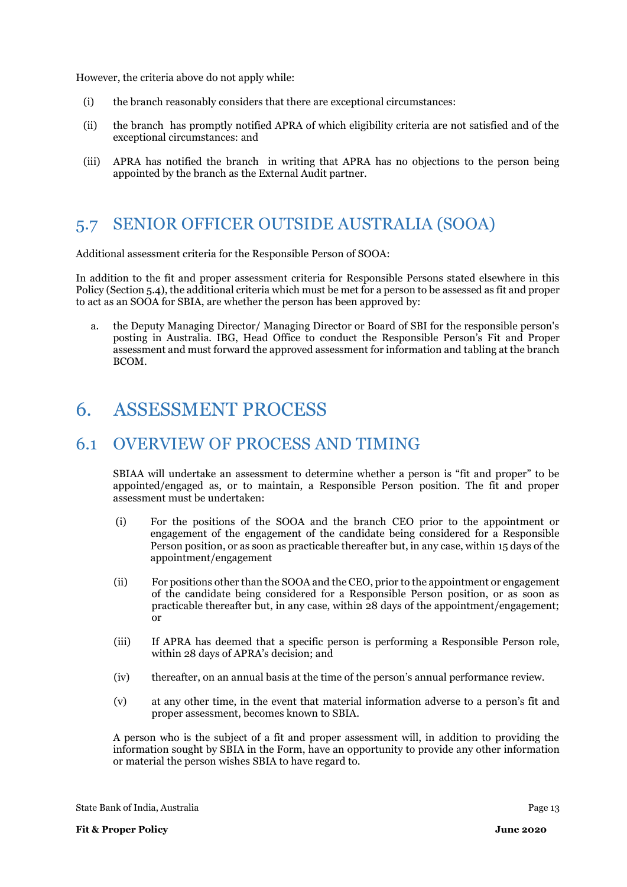However, the criteria above do not apply while:

- (i) the branch reasonably considers that there are exceptional circumstances:
- (ii) the branch has promptly notified APRA of which eligibility criteria are not satisfied and of the exceptional circumstances: and
- (iii) APRA has notified the branch in writing that APRA has no objections to the person being appointed by the branch as the External Audit partner.

## <span id="page-12-0"></span>5.7 SENIOR OFFICER OUTSIDE AUSTRALIA (SOOA)

Additional assessment criteria for the Responsible Person of SOOA:

In addition to the fit and proper assessment criteria for Responsible Persons stated elsewhere in this Policy (Section 5.4), the additional criteria which must be met for a person to be assessed as fit and proper to act as an SOOA for SBIA, are whether the person has been approved by:

a. the Deputy Managing Director/ Managing Director or Board of SBI for the responsible person's posting in Australia. IBG, Head Office to conduct the Responsible Person's Fit and Proper assessment and must forward the approved assessment for information and tabling at the branch BCOM.

# <span id="page-12-1"></span>6. ASSESSMENT PROCESS

## <span id="page-12-2"></span>6.1 OVERVIEW OF PROCESS AND TIMING

SBIAA will undertake an assessment to determine whether a person is "fit and proper" to be appointed/engaged as, or to maintain, a Responsible Person position. The fit and proper assessment must be undertaken:

- (i) For the positions of the SOOA and the branch CEO prior to the appointment or engagement of the engagement of the candidate being considered for a Responsible Person position, or as soon as practicable thereafter but, in any case, within 15 days of the appointment/engagement
- (ii) For positions other than the SOOA and the CEO, prior to the appointment or engagement of the candidate being considered for a Responsible Person position, or as soon as practicable thereafter but, in any case, within 28 days of the appointment/engagement; or
- (iii) If APRA has deemed that a specific person is performing a Responsible Person role, within 28 days of APRA's decision; and
- (iv) thereafter, on an annual basis at the time of the person's annual performance review.
- (v) at any other time, in the event that material information adverse to a person's fit and proper assessment, becomes known to SBIA.

A person who is the subject of a fit and proper assessment will, in addition to providing the information sought by SBIA in the Form, have an opportunity to provide any other information or material the person wishes SBIA to have regard to.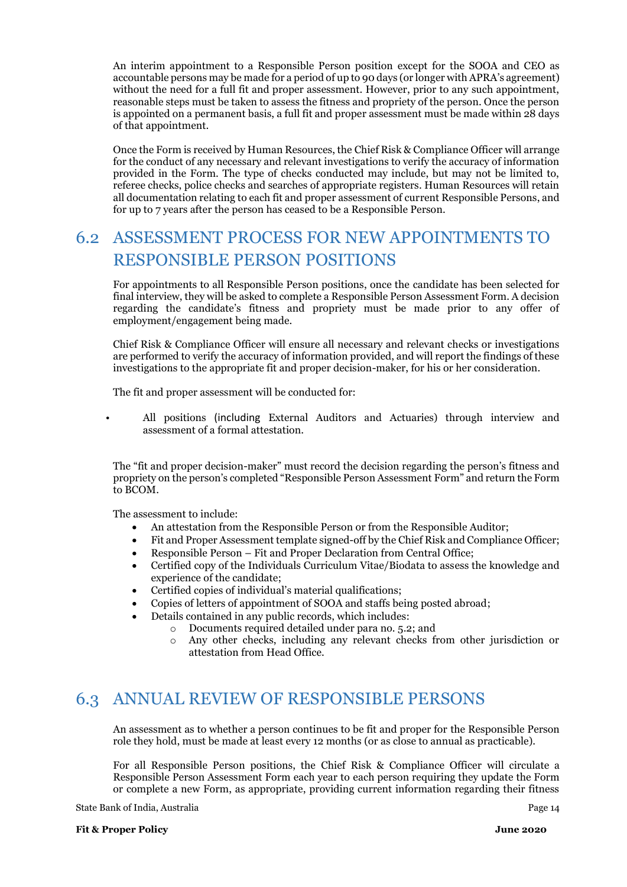An interim appointment to a Responsible Person position except for the SOOA and CEO as accountable persons may be made for a period of up to 90 days (or longer with APRA's agreement) without the need for a full fit and proper assessment. However, prior to any such appointment, reasonable steps must be taken to assess the fitness and propriety of the person. Once the person is appointed on a permanent basis, a full fit and proper assessment must be made within 28 days of that appointment.

Once the Form is received by Human Resources, the Chief Risk & Compliance Officer will arrange for the conduct of any necessary and relevant investigations to verify the accuracy of information provided in the Form. The type of checks conducted may include, but may not be limited to, referee checks, police checks and searches of appropriate registers. Human Resources will retain all documentation relating to each fit and proper assessment of current Responsible Persons, and for up to 7 years after the person has ceased to be a Responsible Person.

# <span id="page-13-0"></span>6.2 ASSESSMENT PROCESS FOR NEW APPOINTMENTS TO RESPONSIBLE PERSON POSITIONS

For appointments to all Responsible Person positions, once the candidate has been selected for final interview, they will be asked to complete a Responsible Person Assessment Form. A decision regarding the candidate's fitness and propriety must be made prior to any offer of employment/engagement being made.

Chief Risk & Compliance Officer will ensure all necessary and relevant checks or investigations are performed to verify the accuracy of information provided, and will report the findings of these investigations to the appropriate fit and proper decision-maker, for his or her consideration.

The fit and proper assessment will be conducted for:

• All positions (including External Auditors and Actuaries) through interview and assessment of a formal attestation.

The "fit and proper decision-maker" must record the decision regarding the person's fitness and propriety on the person's completed "Responsible Person Assessment Form" and return the Form to BCOM.

The assessment to include:

- An attestation from the Responsible Person or from the Responsible Auditor;
- Fit and Proper Assessment template signed-off by the Chief Risk and Compliance Officer;
- Responsible Person Fit and Proper Declaration from Central Office;
- Certified copy of the Individuals Curriculum Vitae/Biodata to assess the knowledge and experience of the candidate;
- Certified copies of individual's material qualifications;
- Copies of letters of appointment of SOOA and staffs being posted abroad;
- Details contained in any public records, which includes:
	- o Documents required detailed under para no. 5.2; and
	- o Any other checks, including any relevant checks from other jurisdiction or attestation from Head Office.

## <span id="page-13-1"></span>6.3 ANNUAL REVIEW OF RESPONSIBLE PERSONS

An assessment as to whether a person continues to be fit and proper for the Responsible Person role they hold, must be made at least every 12 months (or as close to annual as practicable).

For all Responsible Person positions, the Chief Risk & Compliance Officer will circulate a Responsible Person Assessment Form each year to each person requiring they update the Form or complete a new Form, as appropriate, providing current information regarding their fitness

State Bank of India, Australia Page 14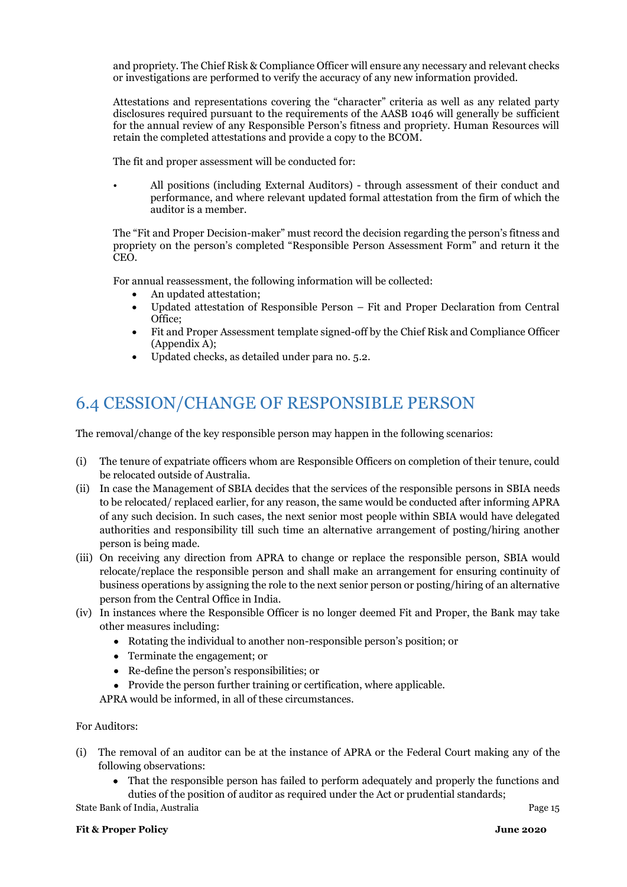and propriety. The Chief Risk & Compliance Officer will ensure any necessary and relevant checks or investigations are performed to verify the accuracy of any new information provided.

Attestations and representations covering the "character" criteria as well as any related party disclosures required pursuant to the requirements of the AASB 1046 will generally be sufficient for the annual review of any Responsible Person's fitness and propriety. Human Resources will retain the completed attestations and provide a copy to the BCOM.

The fit and proper assessment will be conducted for:

• All positions (including External Auditors) - through assessment of their conduct and performance, and where relevant updated formal attestation from the firm of which the auditor is a member.

The "Fit and Proper Decision-maker" must record the decision regarding the person's fitness and propriety on the person's completed "Responsible Person Assessment Form" and return it the CEO.

For annual reassessment, the following information will be collected:

- An updated attestation;
- Updated attestation of Responsible Person Fit and Proper Declaration from Central Office;
- Fit and Proper Assessment template signed-off by the Chief Risk and Compliance Officer (Appendix A);
- Updated checks, as detailed under para no. 5.2.

# <span id="page-14-0"></span>6.4 CESSION/CHANGE OF RESPONSIBLE PERSON

The removal/change of the key responsible person may happen in the following scenarios:

- (i) The tenure of expatriate officers whom are Responsible Officers on completion of their tenure, could be relocated outside of Australia.
- (ii) In case the Management of SBIA decides that the services of the responsible persons in SBIA needs to be relocated/ replaced earlier, for any reason, the same would be conducted after informing APRA of any such decision. In such cases, the next senior most people within SBIA would have delegated authorities and responsibility till such time an alternative arrangement of posting/hiring another person is being made.
- (iii) On receiving any direction from APRA to change or replace the responsible person, SBIA would relocate/replace the responsible person and shall make an arrangement for ensuring continuity of business operations by assigning the role to the next senior person or posting/hiring of an alternative person from the Central Office in India.
- (iv) In instances where the Responsible Officer is no longer deemed Fit and Proper, the Bank may take other measures including:
	- Rotating the individual to another non-responsible person's position; or
	- Terminate the engagement; or
	- Re-define the person's responsibilities; or
	- Provide the person further training or certification, where applicable.

APRA would be informed, in all of these circumstances.

#### For Auditors:

- (i) The removal of an auditor can be at the instance of APRA or the Federal Court making any of the following observations:
	- That the responsible person has failed to perform adequately and properly the functions and duties of the position of auditor as required under the Act or prudential standards;

State Bank of India, Australia **Page 15** and the extendion of Page 15 and the extendion page 15

#### **Fit & Proper Policy June 2020**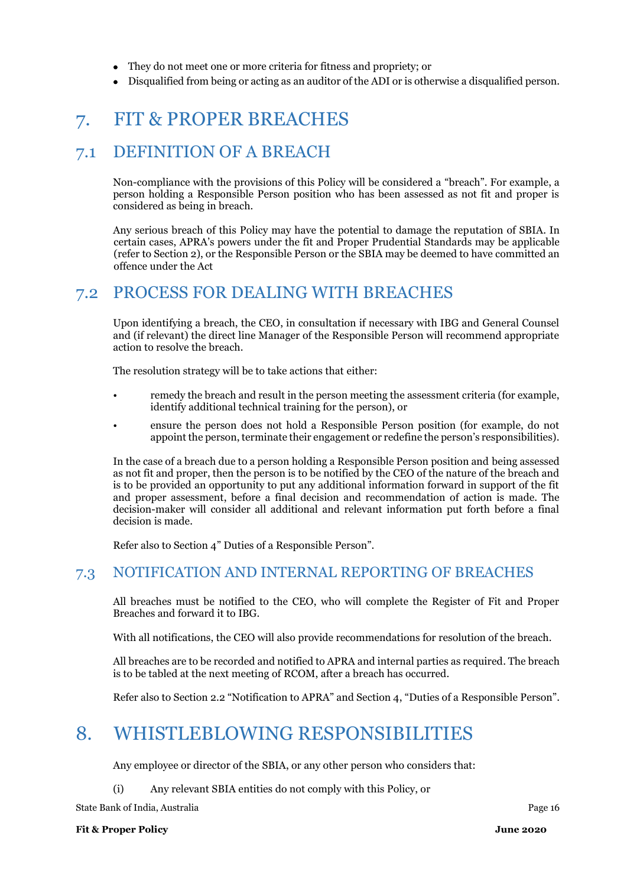- They do not meet one or more criteria for fitness and propriety; or
- Disqualified from being or acting as an auditor of the ADI or is otherwise a disqualified person.

# <span id="page-15-0"></span>7. FIT & PROPER BREACHES

## <span id="page-15-1"></span>7.1 DEFINITION OF A BREACH

Non-compliance with the provisions of this Policy will be considered a "breach". For example, a person holding a Responsible Person position who has been assessed as not fit and proper is considered as being in breach.

Any serious breach of this Policy may have the potential to damage the reputation of SBIA. In certain cases, APRA's powers under the fit and Proper Prudential Standards may be applicable (refer to Section 2), or the Responsible Person or the SBIA may be deemed to have committed an offence under the Act

## <span id="page-15-2"></span>7.2 PROCESS FOR DEALING WITH BREACHES

Upon identifying a breach, the CEO, in consultation if necessary with IBG and General Counsel and (if relevant) the direct line Manager of the Responsible Person will recommend appropriate action to resolve the breach.

The resolution strategy will be to take actions that either:

- remedy the breach and result in the person meeting the assessment criteria (for example, identify additional technical training for the person), or
- ensure the person does not hold a Responsible Person position (for example, do not appoint the person, terminate their engagement or redefine the person's responsibilities).

In the case of a breach due to a person holding a Responsible Person position and being assessed as not fit and proper, then the person is to be notified by the CEO of the nature of the breach and is to be provided an opportunity to put any additional information forward in support of the fit and proper assessment, before a final decision and recommendation of action is made. The decision-maker will consider all additional and relevant information put forth before a final decision is made.

Refer also to Section 4" Duties of a Responsible Person".

### <span id="page-15-3"></span>7.3 NOTIFICATION AND INTERNAL REPORTING OF BREACHES

All breaches must be notified to the CEO, who will complete the Register of Fit and Proper Breaches and forward it to IBG.

With all notifications, the CEO will also provide recommendations for resolution of the breach.

All breaches are to be recorded and notified to APRA and internal parties as required. The breach is to be tabled at the next meeting of RCOM, after a breach has occurred.

Refer also to Section 2.2 "Notification to APRA" and Section 4, "Duties of a Responsible Person".

# <span id="page-15-4"></span>8. WHISTLEBLOWING RESPONSIBILITIES

Any employee or director of the SBIA, or any other person who considers that:

(i) Any relevant SBIA entities do not comply with this Policy, or

State Bank of India, Australia Page 16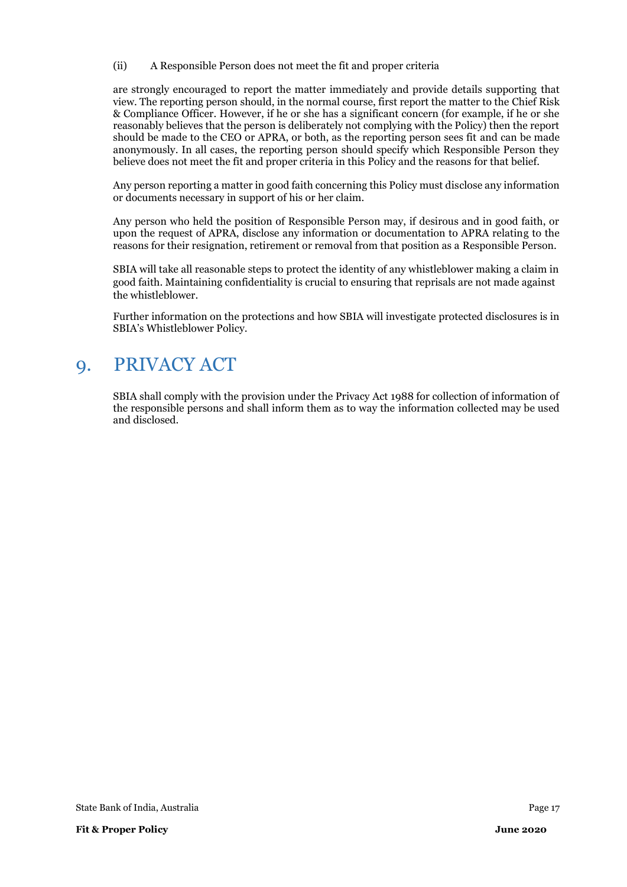(ii) A Responsible Person does not meet the fit and proper criteria

are strongly encouraged to report the matter immediately and provide details supporting that view. The reporting person should, in the normal course, first report the matter to the Chief Risk & Compliance Officer. However, if he or she has a significant concern (for example, if he or she reasonably believes that the person is deliberately not complying with the Policy) then the report should be made to the CEO or APRA, or both, as the reporting person sees fit and can be made anonymously. In all cases, the reporting person should specify which Responsible Person they believe does not meet the fit and proper criteria in this Policy and the reasons for that belief.

Any person reporting a matter in good faith concerning this Policy must disclose any information or documents necessary in support of his or her claim.

Any person who held the position of Responsible Person may, if desirous and in good faith, or upon the request of APRA, disclose any information or documentation to APRA relating to the reasons for their resignation, retirement or removal from that position as a Responsible Person.

SBIA will take all reasonable steps to protect the identity of any whistleblower making a claim in good faith. Maintaining confidentiality is crucial to ensuring that reprisals are not made against the whistleblower.

Further information on the protections and how SBIA will investigate protected disclosures is in SBIA's Whistleblower Policy.

# <span id="page-16-0"></span>9. PRIVACY ACT

SBIA shall comply with the provision under the Privacy Act 1988 for collection of information of the responsible persons and shall inform them as to way the information collected may be used and disclosed.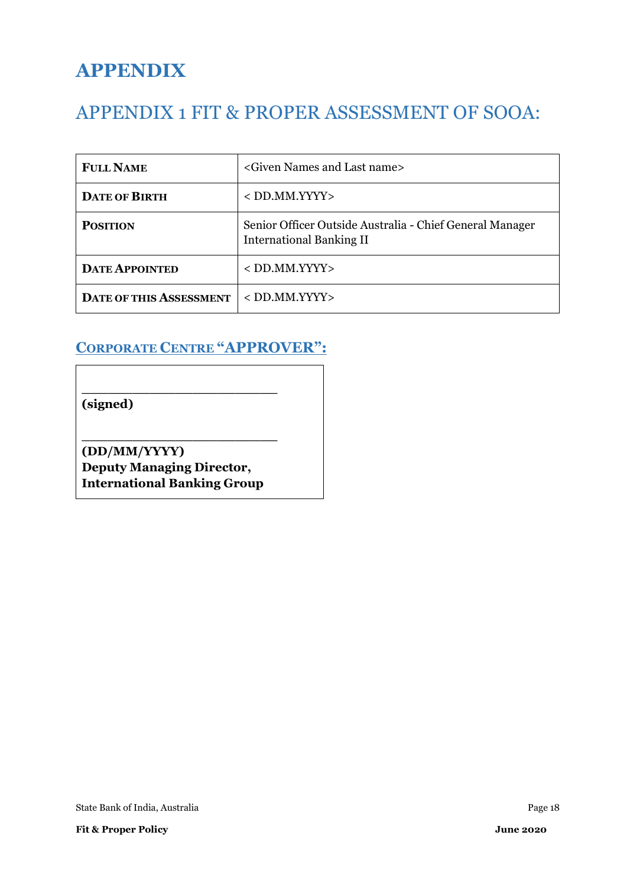# **APPENDIX**

# <span id="page-17-0"></span>APPENDIX 1 FIT & PROPER ASSESSMENT OF SOOA:

| <b>FULL NAME</b>               | <given and="" last="" name="" names=""></given>                                             |
|--------------------------------|---------------------------------------------------------------------------------------------|
| <b>DATE OF BIRTH</b>           | $<$ DD.MM.YYYY $>$                                                                          |
| <b>POSITION</b>                | Senior Officer Outside Australia - Chief General Manager<br><b>International Banking II</b> |
| <b>DATE APPOINTED</b>          | $<$ DD.MM.YYYY $>$                                                                          |
| <b>DATE OF THIS ASSESSMENT</b> | $<$ DD.MM.YYYY $>$                                                                          |

# **CORPORATE CENTRE "APPROVER":**

**(signed)**

**(DD/MM/YYYY) Deputy Managing Director, International Banking Group**

**\_\_\_\_\_\_\_\_\_\_\_\_\_\_\_\_\_\_\_\_\_\_\_** 

**\_\_\_\_\_\_\_\_\_\_\_\_\_\_\_\_\_\_\_\_\_\_\_**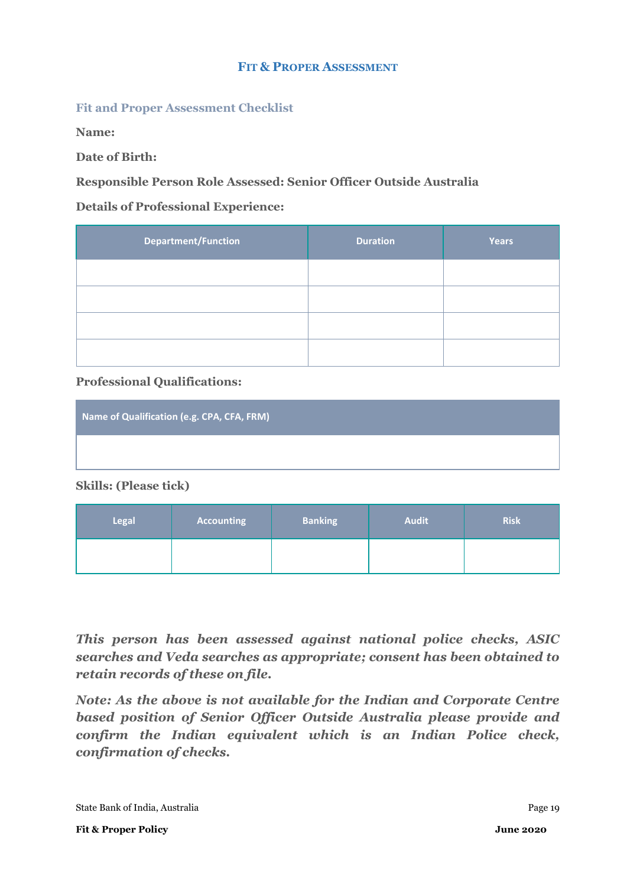#### **FIT & PROPER ASSESSMENT**

#### **Fit and Proper Assessment Checklist**

**Name:** 

**Date of Birth:** 

#### **Responsible Person Role Assessed: Senior Officer Outside Australia**

#### **Details of Professional Experience:**

| <b>Department/Function</b> | <b>Duration</b> | <b>Years</b> |
|----------------------------|-----------------|--------------|
|                            |                 |              |
|                            |                 |              |
|                            |                 |              |
|                            |                 |              |

#### **Professional Qualifications:**

| Name of Qualification (e.g. CPA, CFA, FRM) |  |
|--------------------------------------------|--|
|                                            |  |

**Skills: (Please tick)**

| Legal | <b>Accounting</b> | <b>Banking</b> | <b>Audit</b> | <b>Risk</b> |
|-------|-------------------|----------------|--------------|-------------|
|       |                   |                |              |             |

*This person has been assessed against national police checks, ASIC searches and Veda searches as appropriate; consent has been obtained to retain records of these on file.*

*Note: As the above is not available for the Indian and Corporate Centre based position of Senior Officer Outside Australia please provide and confirm the Indian equivalent which is an Indian Police check, confirmation of checks.*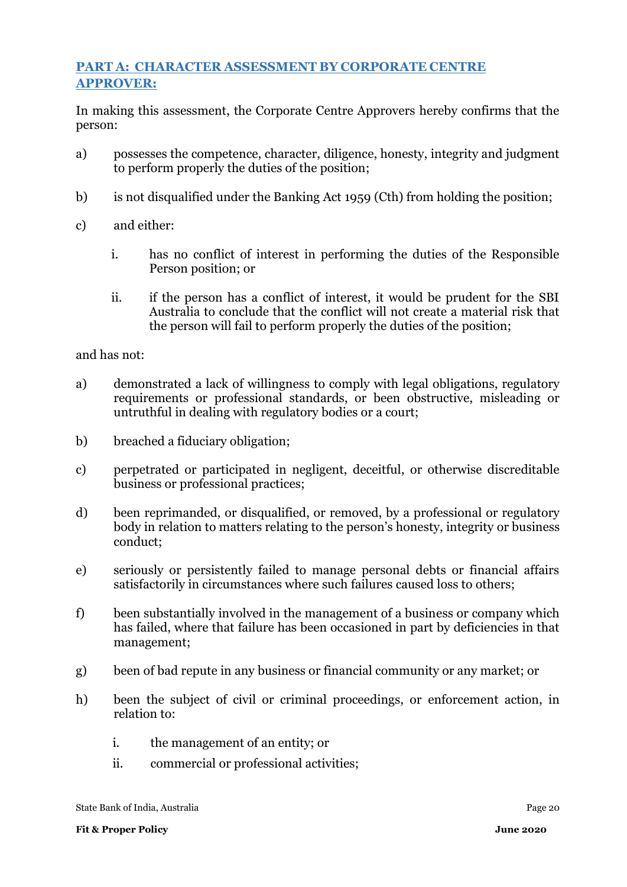## **PART A: CHARACTER ASSESSMENT BY CORPORATE CENTRE APPROVER:**

In making this assessment, the Corporate Centre Approvers hereby confirms that the person:

- a) possesses the competence, character, diligence, honesty, integrity and judgment to perform properly the duties of the position;
- b) is not disqualified under the Banking Act 1959 (Cth) from holding the position;
- c) and either:
	- i. has no conflict of interest in performing the duties of the Responsible Person position; or
	- ii. if the person has a conflict of interest, it would be prudent for the SBI Australia to conclude that the conflict will not create a material risk that the person will fail to perform properly the duties of the position;

and has not:

- a) demonstrated a lack of willingness to comply with legal obligations, regulatory requirements or professional standards, or been obstructive, misleading or untruthful in dealing with regulatory bodies or a court;
- b) breached a fiduciary obligation;
- c) perpetrated or participated in negligent, deceitful, or otherwise discreditable business or professional practices;
- d) been reprimanded, or disqualified, or removed, by a professional or regulatory body in relation to matters relating to the person's honesty, integrity or business conduct;
- e) seriously or persistently failed to manage personal debts or financial affairs satisfactorily in circumstances where such failures caused loss to others;
- f) been substantially involved in the management of a business or company which has failed, where that failure has been occasioned in part by deficiencies in that management;
- g) been of bad repute in any business or financial community or any market; or
- h) been the subject of civil or criminal proceedings, or enforcement action, in relation to:
	- i. the management of an entity; or
	- ii. commercial or professional activities;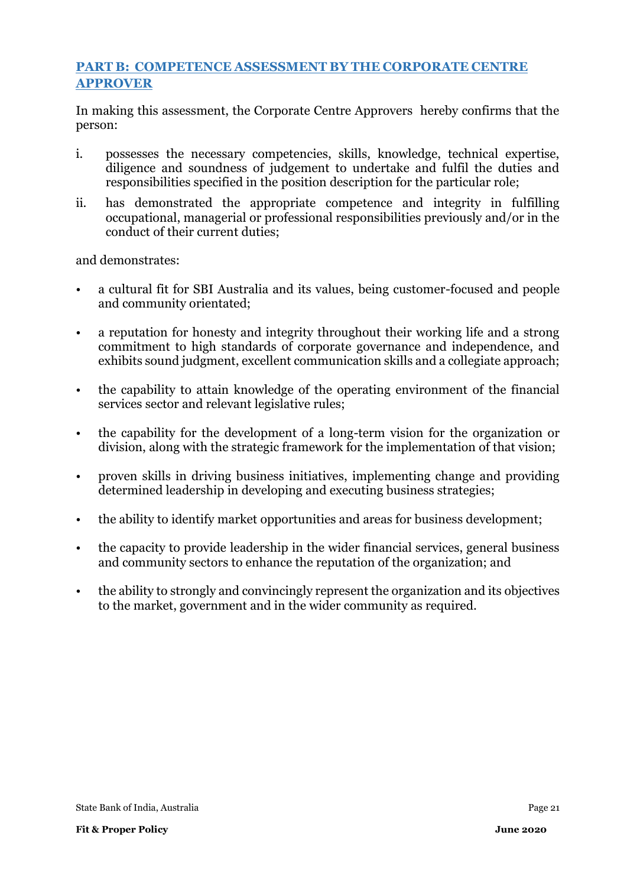## **PART B: COMPETENCE ASSESSMENT BY THE CORPORATE CENTRE APPROVER**

In making this assessment, the Corporate Centre Approvers hereby confirms that the person:

- i. possesses the necessary competencies, skills, knowledge, technical expertise, diligence and soundness of judgement to undertake and fulfil the duties and responsibilities specified in the position description for the particular role;
- ii. has demonstrated the appropriate competence and integrity in fulfilling occupational, managerial or professional responsibilities previously and/or in the conduct of their current duties;

and demonstrates:

- a cultural fit for SBI Australia and its values, being customer-focused and people and community orientated;
- a reputation for honesty and integrity throughout their working life and a strong commitment to high standards of corporate governance and independence, and exhibits sound judgment, excellent communication skills and a collegiate approach;
- the capability to attain knowledge of the operating environment of the financial services sector and relevant legislative rules;
- the capability for the development of a long-term vision for the organization or division, along with the strategic framework for the implementation of that vision;
- proven skills in driving business initiatives, implementing change and providing determined leadership in developing and executing business strategies;
- the ability to identify market opportunities and areas for business development;
- the capacity to provide leadership in the wider financial services, general business and community sectors to enhance the reputation of the organization; and
- the ability to strongly and convincingly represent the organization and its objectives to the market, government and in the wider community as required.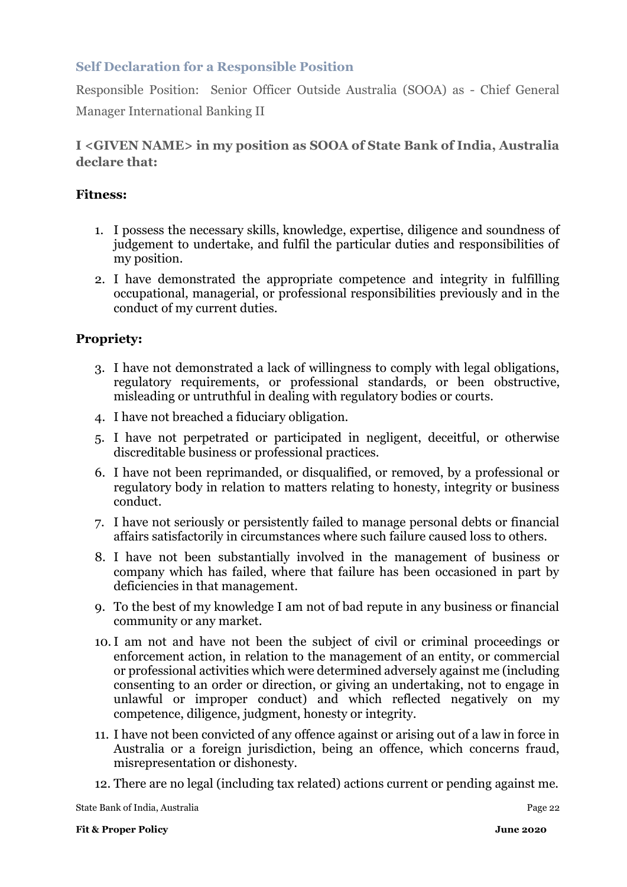## **Self Declaration for a Responsible Position**

Responsible Position: Senior Officer Outside Australia (SOOA) as - Chief General Manager International Banking II

### **I <GIVEN NAME> in my position as SOOA of State Bank of India, Australia declare that:**

#### **Fitness:**

- 1. I possess the necessary skills, knowledge, expertise, diligence and soundness of judgement to undertake, and fulfil the particular duties and responsibilities of my position.
- 2. I have demonstrated the appropriate competence and integrity in fulfilling occupational, managerial, or professional responsibilities previously and in the conduct of my current duties.

### **Propriety:**

- 3. I have not demonstrated a lack of willingness to comply with legal obligations, regulatory requirements, or professional standards, or been obstructive, misleading or untruthful in dealing with regulatory bodies or courts.
- 4. I have not breached a fiduciary obligation.
- 5. I have not perpetrated or participated in negligent, deceitful, or otherwise discreditable business or professional practices.
- 6. I have not been reprimanded, or disqualified, or removed, by a professional or regulatory body in relation to matters relating to honesty, integrity or business conduct.
- 7. I have not seriously or persistently failed to manage personal debts or financial affairs satisfactorily in circumstances where such failure caused loss to others.
- 8. I have not been substantially involved in the management of business or company which has failed, where that failure has been occasioned in part by deficiencies in that management.
- 9. To the best of my knowledge I am not of bad repute in any business or financial community or any market.
- 10.I am not and have not been the subject of civil or criminal proceedings or enforcement action, in relation to the management of an entity, or commercial or professional activities which were determined adversely against me (including consenting to an order or direction, or giving an undertaking, not to engage in unlawful or improper conduct) and which reflected negatively on my competence, diligence, judgment, honesty or integrity.
- 11. I have not been convicted of any offence against or arising out of a law in force in Australia or a foreign jurisdiction, being an offence, which concerns fraud, misrepresentation or dishonesty.
- 12. There are no legal (including tax related) actions current or pending against me.

State Bank of India, Australia Page 22 and 2016 and 22 and 22 and 23 and 23 and 23 and 23 and 23 and 23 and 23 and 24 and 25 and 26 and 26 and 26 and 26 and 26 and 26 and 26 and 26 and 26 and 26 and 26 and 26 and 26 and 26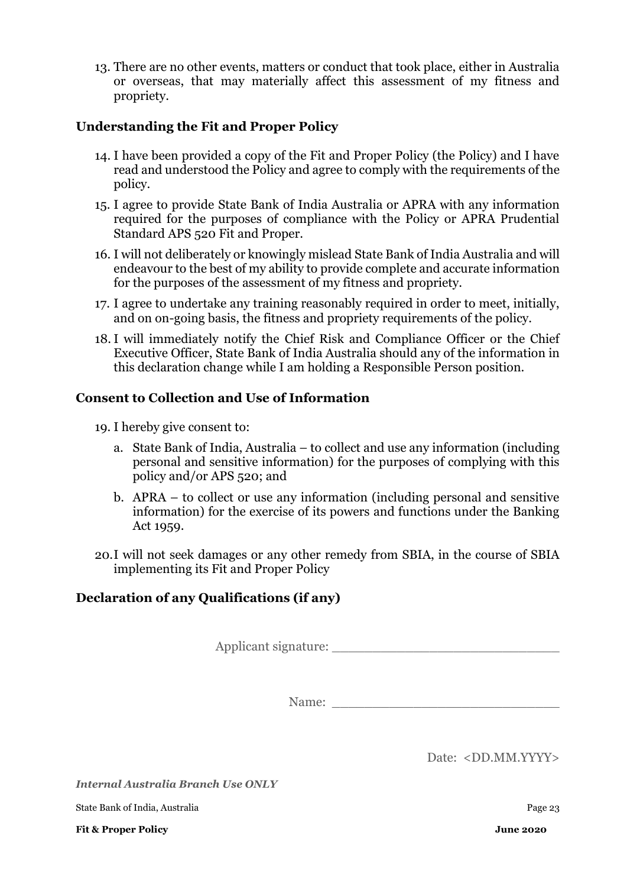13. There are no other events, matters or conduct that took place, either in Australia or overseas, that may materially affect this assessment of my fitness and propriety.

### **Understanding the Fit and Proper Policy**

- 14. I have been provided a copy of the Fit and Proper Policy (the Policy) and I have read and understood the Policy and agree to comply with the requirements of the policy.
- 15. I agree to provide State Bank of India Australia or APRA with any information required for the purposes of compliance with the Policy or APRA Prudential Standard APS 520 Fit and Proper.
- 16. I will not deliberately or knowingly mislead State Bank of India Australia and will endeavour to the best of my ability to provide complete and accurate information for the purposes of the assessment of my fitness and propriety.
- 17. I agree to undertake any training reasonably required in order to meet, initially, and on on-going basis, the fitness and propriety requirements of the policy.
- 18. I will immediately notify the Chief Risk and Compliance Officer or the Chief Executive Officer, State Bank of India Australia should any of the information in this declaration change while I am holding a Responsible Person position.

#### **Consent to Collection and Use of Information**

- 19. I hereby give consent to:
	- a. State Bank of India, Australia to collect and use any information (including personal and sensitive information) for the purposes of complying with this policy and/or APS 520; and
	- b. APRA to collect or use any information (including personal and sensitive information) for the exercise of its powers and functions under the Banking Act 1959.
- 20.I will not seek damages or any other remedy from SBIA, in the course of SBIA implementing its Fit and Proper Policy

### **Declaration of any Qualifications (if any)**

Applicant signature: \_\_\_\_\_\_\_\_\_\_\_\_\_\_\_\_\_\_\_\_\_\_\_\_\_\_\_\_

Name:

Date: <DD.MM.YYYY>

*Internal Australia Branch Use ONLY*

State Bank of India, Australia Page 23

**Fit & Proper Policy June 2020**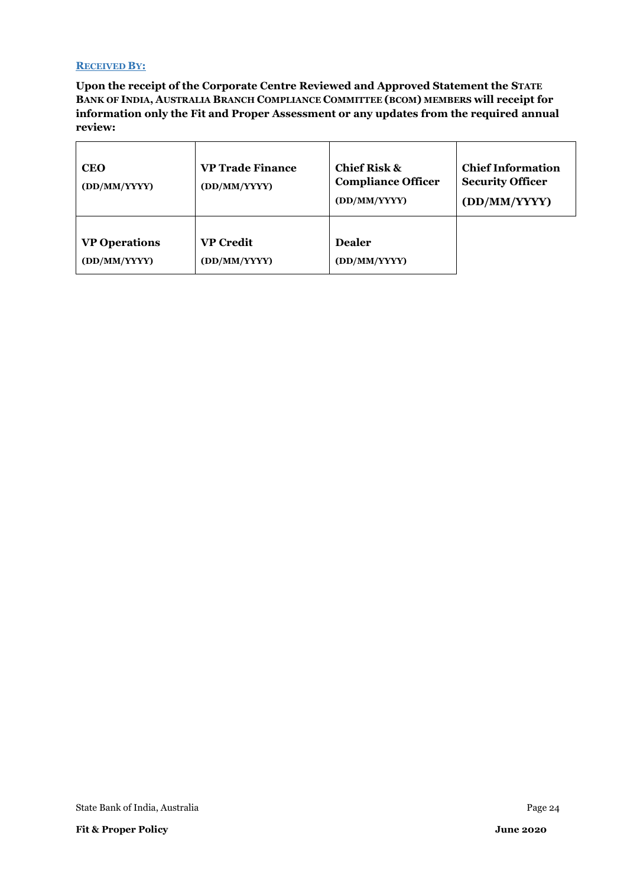#### **RECEIVED BY:**

**Upon the receipt of the Corporate Centre Reviewed and Approved Statement the STATE BANK OF INDIA, AUSTRALIA BRANCH COMPLIANCE COMMITTEE (BCOM) MEMBERS will receipt for information only the Fit and Proper Assessment or any updates from the required annual review:**

| <b>CEO</b><br>(DD/MM/YYYY) | <b>VP Trade Finance</b><br>(DD/MM/YYYY) | <b>Chief Risk &amp;</b><br><b>Compliance Officer</b><br>(DD/MM/YYYY) | <b>Chief Information</b><br><b>Security Officer</b><br>(DD/MM/YYYY) |
|----------------------------|-----------------------------------------|----------------------------------------------------------------------|---------------------------------------------------------------------|
| <b>VP Operations</b>       | <b>VP Credit</b>                        | <b>Dealer</b>                                                        |                                                                     |
| (DD/MM/YYYY)               | (DD/MM/YYYY)                            | (DD/MM/YYYY)                                                         |                                                                     |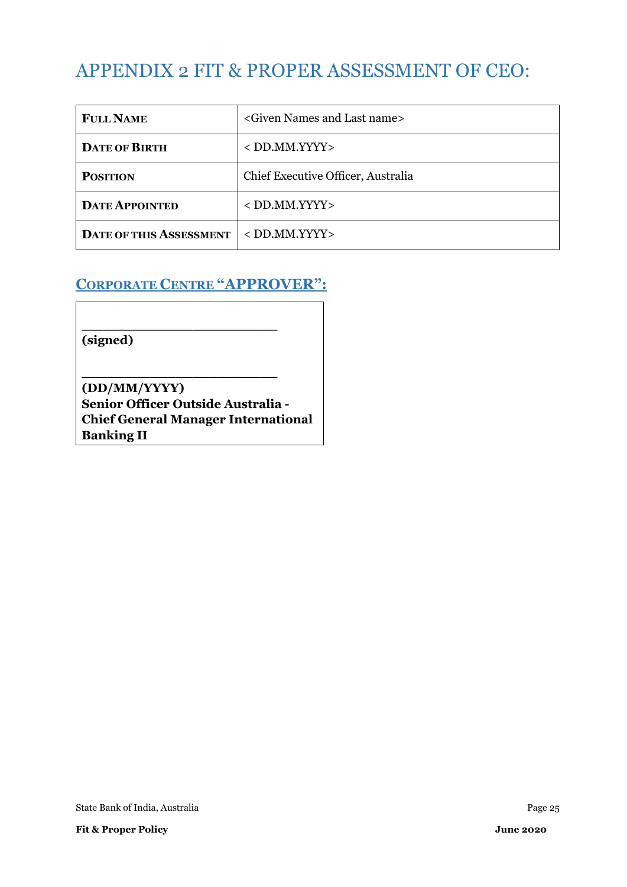# <span id="page-24-0"></span>APPENDIX 2 FIT & PROPER ASSESSMENT OF CEO:

| <b>FULL NAME</b>               | <given and="" last="" name="" names=""></given> |
|--------------------------------|-------------------------------------------------|
| <b>DATE OF BIRTH</b>           | $<$ DD.MM.YYYY $>$                              |
| <b>POSITION</b>                | Chief Executive Officer, Australia              |
| <b>DATE APPOINTED</b>          | $<$ DD.MM.YYYY $>$                              |
| <b>DATE OF THIS ASSESSMENT</b> | $<$ DD.MM.YYYY $>$                              |

## **CORPORATE CENTRE "APPROVER":**

**\_\_\_\_\_\_\_\_\_\_\_\_\_\_\_\_\_\_\_\_\_\_\_** 

**\_\_\_\_\_\_\_\_\_\_\_\_\_\_\_\_\_\_\_\_\_\_\_** 

**(signed)**

**(DD/MM/YYYY) Senior Officer Outside Australia - Chief General Manager International Banking II**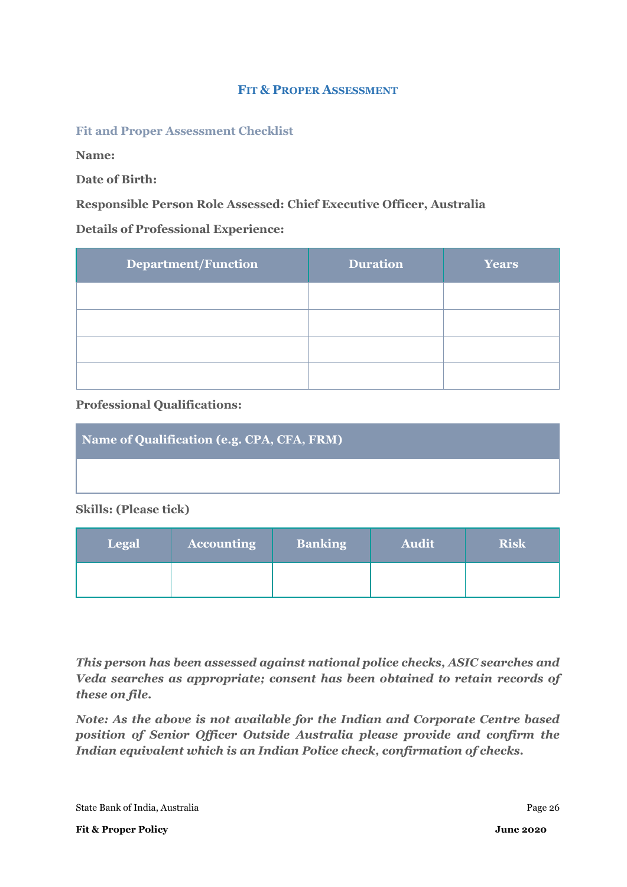#### **FIT & PROPER ASSESSMENT**

#### **Fit and Proper Assessment Checklist**

**Name:** 

**Date of Birth:** 

#### **Responsible Person Role Assessed: Chief Executive Officer, Australia**

#### **Details of Professional Experience:**

| <b>Department/Function</b> | <b>Duration</b> | <b>Years</b> |
|----------------------------|-----------------|--------------|
|                            |                 |              |
|                            |                 |              |
|                            |                 |              |
|                            |                 |              |

#### **Professional Qualifications:**

| Name of Qualification (e.g. CPA, CFA, FRM) |
|--------------------------------------------|
|                                            |

#### **Skills: (Please tick)**

| <b>Legal</b> | <b>Accounting</b> | <b>Banking</b> | <b>Audit</b> | <b>Risk</b> |
|--------------|-------------------|----------------|--------------|-------------|
|              |                   |                |              |             |

*This person has been assessed against national police checks, ASIC searches and Veda searches as appropriate; consent has been obtained to retain records of these on file.*

*Note: As the above is not available for the Indian and Corporate Centre based position of Senior Officer Outside Australia please provide and confirm the Indian equivalent which is an Indian Police check, confirmation of checks.*

State Bank of India, Australia **Page 26** and *Page 26* and *Page 26* and *Page 26* and *Page 26* and *Page 26* and *Page 26* and *Page 26* and *Page 26* and *Page 26* and *Page 26* and *Page 26* and *Page 26* and *Page 26*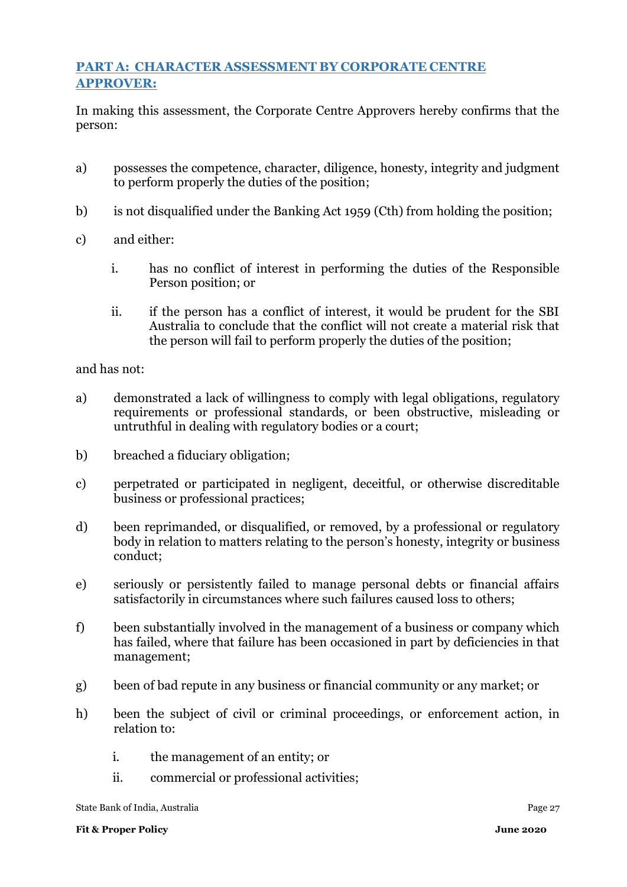## **PART A: CHARACTER ASSESSMENT BY CORPORATE CENTRE APPROVER:**

In making this assessment, the Corporate Centre Approvers hereby confirms that the person:

- a) possesses the competence, character, diligence, honesty, integrity and judgment to perform properly the duties of the position;
- b) is not disqualified under the Banking Act 1959 (Cth) from holding the position;
- c) and either:
	- i. has no conflict of interest in performing the duties of the Responsible Person position; or
	- ii. if the person has a conflict of interest, it would be prudent for the SBI Australia to conclude that the conflict will not create a material risk that the person will fail to perform properly the duties of the position;

and has not:

- a) demonstrated a lack of willingness to comply with legal obligations, regulatory requirements or professional standards, or been obstructive, misleading or untruthful in dealing with regulatory bodies or a court;
- b) breached a fiduciary obligation;
- c) perpetrated or participated in negligent, deceitful, or otherwise discreditable business or professional practices;
- d) been reprimanded, or disqualified, or removed, by a professional or regulatory body in relation to matters relating to the person's honesty, integrity or business conduct;
- e) seriously or persistently failed to manage personal debts or financial affairs satisfactorily in circumstances where such failures caused loss to others;
- f) been substantially involved in the management of a business or company which has failed, where that failure has been occasioned in part by deficiencies in that management;
- g) been of bad repute in any business or financial community or any market; or
- h) been the subject of civil or criminal proceedings, or enforcement action, in relation to:
	- i. the management of an entity; or
	- ii. commercial or professional activities;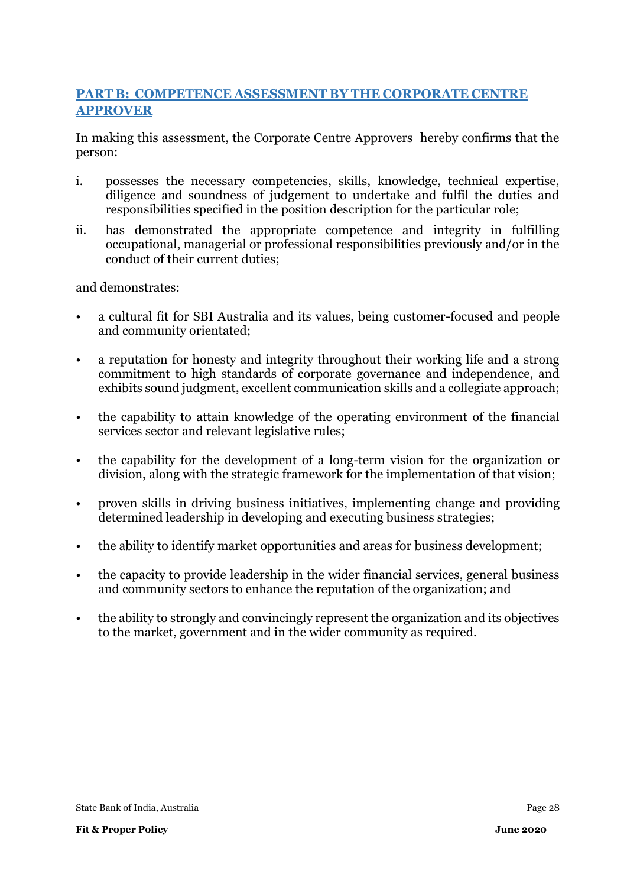## **PART B: COMPETENCE ASSESSMENT BY THE CORPORATE CENTRE APPROVER**

In making this assessment, the Corporate Centre Approvers hereby confirms that the person:

- i. possesses the necessary competencies, skills, knowledge, technical expertise, diligence and soundness of judgement to undertake and fulfil the duties and responsibilities specified in the position description for the particular role;
- ii. has demonstrated the appropriate competence and integrity in fulfilling occupational, managerial or professional responsibilities previously and/or in the conduct of their current duties;

and demonstrates:

- a cultural fit for SBI Australia and its values, being customer-focused and people and community orientated;
- a reputation for honesty and integrity throughout their working life and a strong commitment to high standards of corporate governance and independence, and exhibits sound judgment, excellent communication skills and a collegiate approach;
- the capability to attain knowledge of the operating environment of the financial services sector and relevant legislative rules;
- the capability for the development of a long-term vision for the organization or division, along with the strategic framework for the implementation of that vision;
- proven skills in driving business initiatives, implementing change and providing determined leadership in developing and executing business strategies;
- the ability to identify market opportunities and areas for business development;
- the capacity to provide leadership in the wider financial services, general business and community sectors to enhance the reputation of the organization; and
- the ability to strongly and convincingly represent the organization and its objectives to the market, government and in the wider community as required.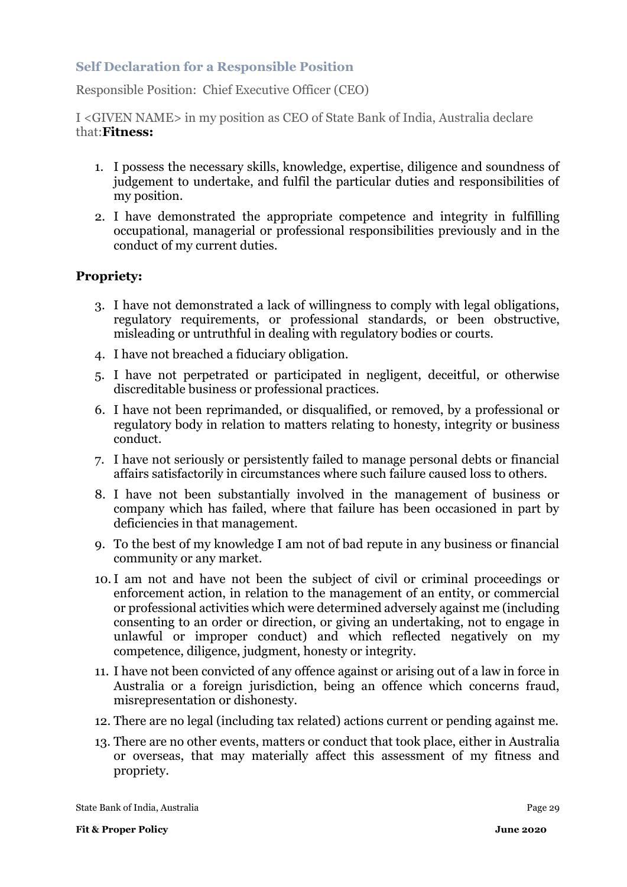### **Self Declaration for a Responsible Position**

Responsible Position: Chief Executive Officer (CEO)

I <GIVEN NAME> in my position as CEO of State Bank of India, Australia declare that:**Fitness:**

- 1. I possess the necessary skills, knowledge, expertise, diligence and soundness of judgement to undertake, and fulfil the particular duties and responsibilities of my position.
- 2. I have demonstrated the appropriate competence and integrity in fulfilling occupational, managerial or professional responsibilities previously and in the conduct of my current duties.

### **Propriety:**

- 3. I have not demonstrated a lack of willingness to comply with legal obligations, regulatory requirements, or professional standards, or been obstructive, misleading or untruthful in dealing with regulatory bodies or courts.
- 4. I have not breached a fiduciary obligation.
- 5. I have not perpetrated or participated in negligent, deceitful, or otherwise discreditable business or professional practices.
- 6. I have not been reprimanded, or disqualified, or removed, by a professional or regulatory body in relation to matters relating to honesty, integrity or business conduct.
- 7. I have not seriously or persistently failed to manage personal debts or financial affairs satisfactorily in circumstances where such failure caused loss to others.
- 8. I have not been substantially involved in the management of business or company which has failed, where that failure has been occasioned in part by deficiencies in that management.
- 9. To the best of my knowledge I am not of bad repute in any business or financial community or any market.
- 10.I am not and have not been the subject of civil or criminal proceedings or enforcement action, in relation to the management of an entity, or commercial or professional activities which were determined adversely against me (including consenting to an order or direction, or giving an undertaking, not to engage in unlawful or improper conduct) and which reflected negatively on my competence, diligence, judgment, honesty or integrity.
- 11. I have not been convicted of any offence against or arising out of a law in force in Australia or a foreign jurisdiction, being an offence which concerns fraud, misrepresentation or dishonesty.
- 12. There are no legal (including tax related) actions current or pending against me.
- 13. There are no other events, matters or conduct that took place, either in Australia or overseas, that may materially affect this assessment of my fitness and propriety.

| State Bank of India, Australia | Page 29 |
|--------------------------------|---------|
|                                |         |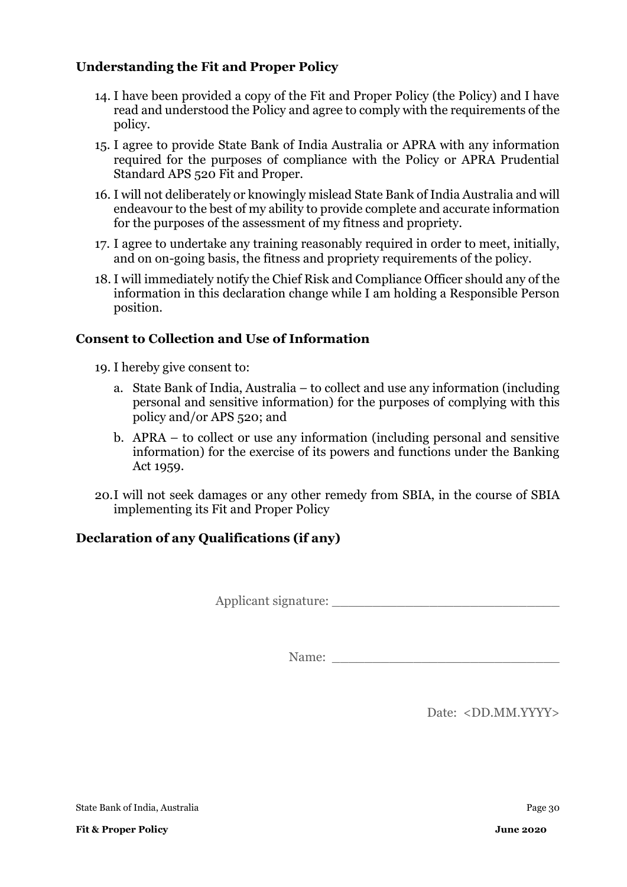## **Understanding the Fit and Proper Policy**

- 14. I have been provided a copy of the Fit and Proper Policy (the Policy) and I have read and understood the Policy and agree to comply with the requirements of the policy.
- 15. I agree to provide State Bank of India Australia or APRA with any information required for the purposes of compliance with the Policy or APRA Prudential Standard APS 520 Fit and Proper.
- 16. I will not deliberately or knowingly mislead State Bank of India Australia and will endeavour to the best of my ability to provide complete and accurate information for the purposes of the assessment of my fitness and propriety.
- 17. I agree to undertake any training reasonably required in order to meet, initially, and on on-going basis, the fitness and propriety requirements of the policy.
- 18. I will immediately notify the Chief Risk and Compliance Officer should any of the information in this declaration change while I am holding a Responsible Person position.

### **Consent to Collection and Use of Information**

- 19. I hereby give consent to:
	- a. State Bank of India, Australia to collect and use any information (including personal and sensitive information) for the purposes of complying with this policy and/or APS 520; and
	- b. APRA to collect or use any information (including personal and sensitive information) for the exercise of its powers and functions under the Banking Act 1959.
- 20.I will not seek damages or any other remedy from SBIA, in the course of SBIA implementing its Fit and Proper Policy

## **Declaration of any Qualifications (if any)**

Applicant signature:

Name:

Date: <DD.MM.YYYY>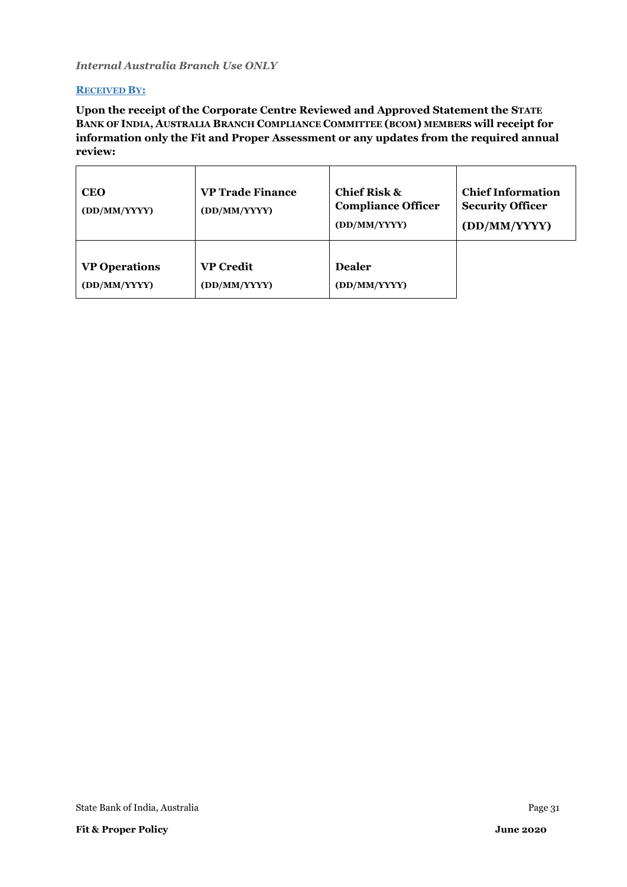#### *Internal Australia Branch Use ONLY*

#### **RECEIVED BY:**

**Upon the receipt of the Corporate Centre Reviewed and Approved Statement the STATE BANK OF INDIA, AUSTRALIA BRANCH COMPLIANCE COMMITTEE (BCOM) MEMBERS will receipt for information only the Fit and Proper Assessment or any updates from the required annual review:**

| <b>CEO</b><br>(DD/MM/YYYY) | <b>VP Trade Finance</b><br>(DD/MM/YYYY) | <b>Chief Risk &amp;</b><br><b>Compliance Officer</b><br>(DD/MM/YYYY) | <b>Chief Information</b><br><b>Security Officer</b><br>(DD/MM/YYYY) |
|----------------------------|-----------------------------------------|----------------------------------------------------------------------|---------------------------------------------------------------------|
| <b>VP Operations</b>       | <b>VP Credit</b>                        | <b>Dealer</b>                                                        |                                                                     |
| (DD/MM/YYYY)               | (DD/MM/YYYY)                            | (DD/MM/YYYY)                                                         |                                                                     |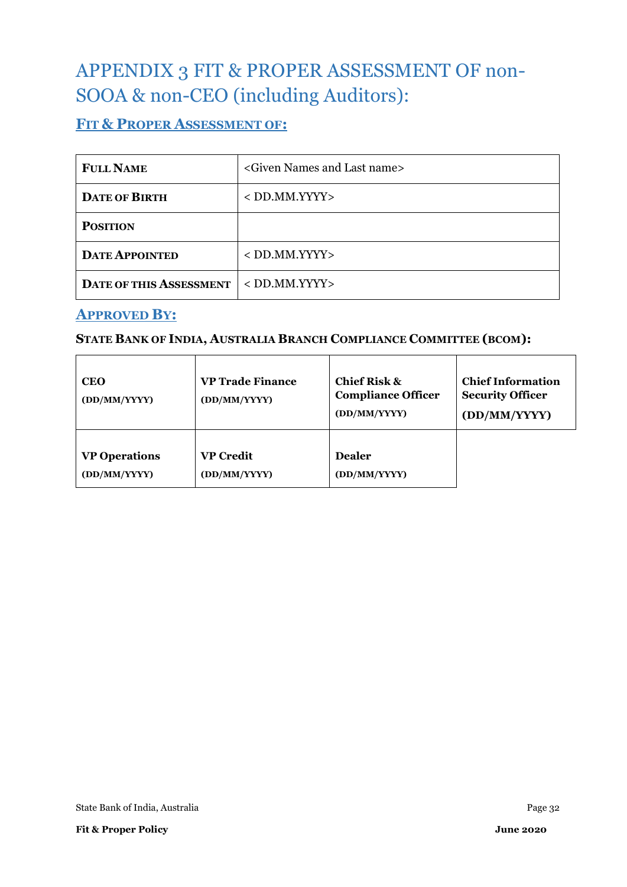# <span id="page-31-0"></span>APPENDIX 3 FIT & PROPER ASSESSMENT OF non-SOOA & non-CEO (including Auditors):

## **FIT & PROPER ASSESSMENT OF:**

| <b>FULL NAME</b>               | <given and="" last="" name="" names=""></given> |
|--------------------------------|-------------------------------------------------|
| <b>DATE OF BIRTH</b>           | $<$ DD.MM.YYYY $>$                              |
| <b>POSITION</b>                |                                                 |
| <b>DATE APPOINTED</b>          | $<$ DD.MM.YYYY $>$                              |
| <b>DATE OF THIS ASSESSMENT</b> | $<$ DD.MM.YYYY>                                 |

## **APPROVED BY:**

# **STATE BANK OF INDIA, AUSTRALIA BRANCH COMPLIANCE COMMITTEE (BCOM):**

| <b>CEO</b><br>(DD/MM/YYYY) | <b>VP Trade Finance</b><br>(DD/MM/YYYY) | Chief Risk $\&$<br><b>Compliance Officer</b><br>(DD/MM/YYYY) | <b>Chief Information</b><br><b>Security Officer</b><br>(DD/MM/YYYY) |
|----------------------------|-----------------------------------------|--------------------------------------------------------------|---------------------------------------------------------------------|
| <b>VP Operations</b>       | <b>VP Credit</b>                        | <b>Dealer</b>                                                |                                                                     |
| (DD/MM/YYYY)               | (DD/MM/YYYY)                            | (DD/MM/YYYY)                                                 |                                                                     |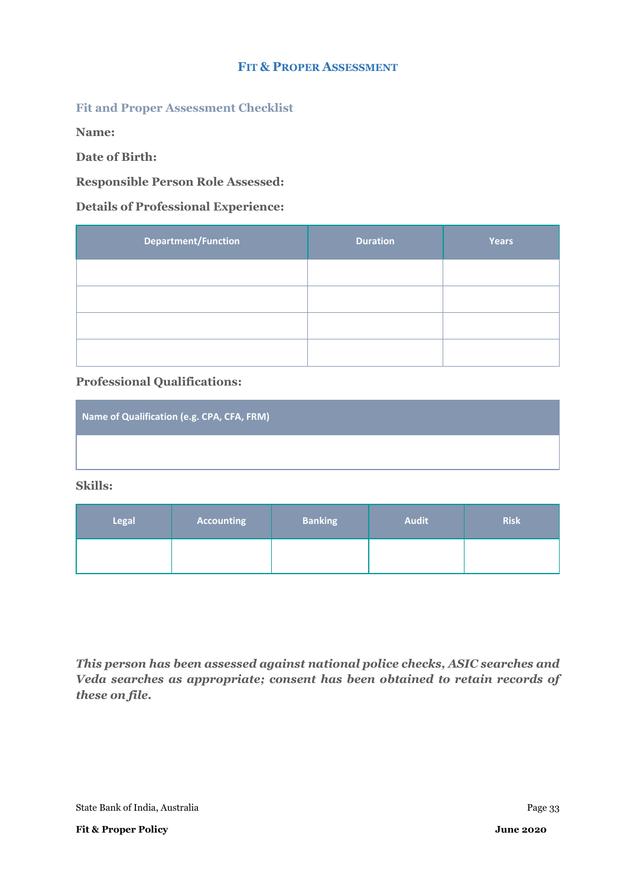#### **FIT & PROPER ASSESSMENT**

#### **Fit and Proper Assessment Checklist**

**Name:** 

**Date of Birth:** 

#### **Responsible Person Role Assessed:**

#### **Details of Professional Experience:**

| <b>Department/Function</b> | <b>Duration</b> | <b>Years</b> |
|----------------------------|-----------------|--------------|
|                            |                 |              |
|                            |                 |              |
|                            |                 |              |
|                            |                 |              |

#### **Professional Qualifications:**

| Name of Qualification (e.g. CPA, CFA, FRM) |  |
|--------------------------------------------|--|
|                                            |  |

**Skills:**

| <b>Legal</b> | <b>Accounting</b> | <b>Banking</b> | <b>Audit</b> | <b>Risk</b> |
|--------------|-------------------|----------------|--------------|-------------|
|              |                   |                |              |             |

*This person has been assessed against national police checks, ASIC searches and Veda searches as appropriate; consent has been obtained to retain records of these on file.*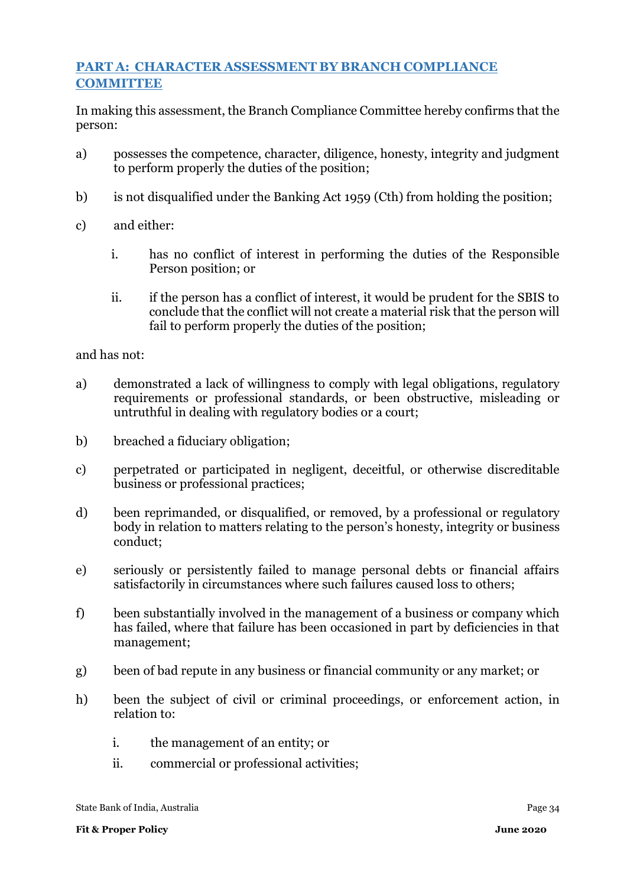## **PART A: CHARACTER ASSESSMENT BY BRANCH COMPLIANCE COMMITTEE**

In making this assessment, the Branch Compliance Committee hereby confirms that the person:

- a) possesses the competence, character, diligence, honesty, integrity and judgment to perform properly the duties of the position;
- b) is not disqualified under the Banking Act 1959 (Cth) from holding the position;
- c) and either:
	- i. has no conflict of interest in performing the duties of the Responsible Person position; or
	- ii. if the person has a conflict of interest, it would be prudent for the SBIS to conclude that the conflict will not create a material risk that the person will fail to perform properly the duties of the position;

and has not:

- a) demonstrated a lack of willingness to comply with legal obligations, regulatory requirements or professional standards, or been obstructive, misleading or untruthful in dealing with regulatory bodies or a court;
- b) breached a fiduciary obligation;
- c) perpetrated or participated in negligent, deceitful, or otherwise discreditable business or professional practices;
- d) been reprimanded, or disqualified, or removed, by a professional or regulatory body in relation to matters relating to the person's honesty, integrity or business conduct;
- e) seriously or persistently failed to manage personal debts or financial affairs satisfactorily in circumstances where such failures caused loss to others;
- f) been substantially involved in the management of a business or company which has failed, where that failure has been occasioned in part by deficiencies in that management;
- g) been of bad repute in any business or financial community or any market; or
- h) been the subject of civil or criminal proceedings, or enforcement action, in relation to:
	- i. the management of an entity; or
	- ii. commercial or professional activities;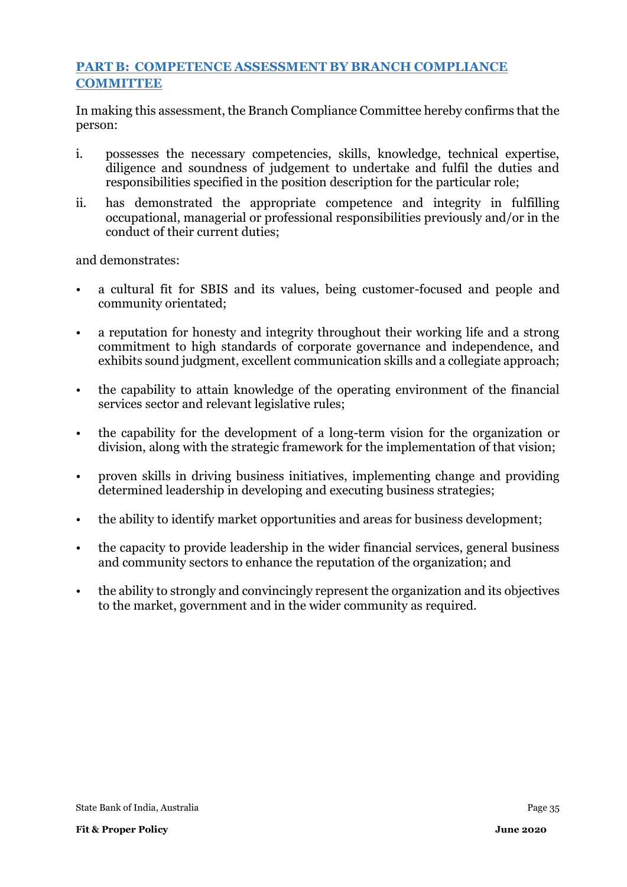## **PART B: COMPETENCE ASSESSMENT BY BRANCH COMPLIANCE COMMITTEE**

In making this assessment, the Branch Compliance Committee hereby confirms that the person:

- i. possesses the necessary competencies, skills, knowledge, technical expertise, diligence and soundness of judgement to undertake and fulfil the duties and responsibilities specified in the position description for the particular role;
- ii. has demonstrated the appropriate competence and integrity in fulfilling occupational, managerial or professional responsibilities previously and/or in the conduct of their current duties;

and demonstrates:

- a cultural fit for SBIS and its values, being customer-focused and people and community orientated;
- a reputation for honesty and integrity throughout their working life and a strong commitment to high standards of corporate governance and independence, and exhibits sound judgment, excellent communication skills and a collegiate approach;
- the capability to attain knowledge of the operating environment of the financial services sector and relevant legislative rules;
- the capability for the development of a long-term vision for the organization or division, along with the strategic framework for the implementation of that vision;
- proven skills in driving business initiatives, implementing change and providing determined leadership in developing and executing business strategies;
- the ability to identify market opportunities and areas for business development;
- the capacity to provide leadership in the wider financial services, general business and community sectors to enhance the reputation of the organization; and
- the ability to strongly and convincingly represent the organization and its objectives to the market, government and in the wider community as required.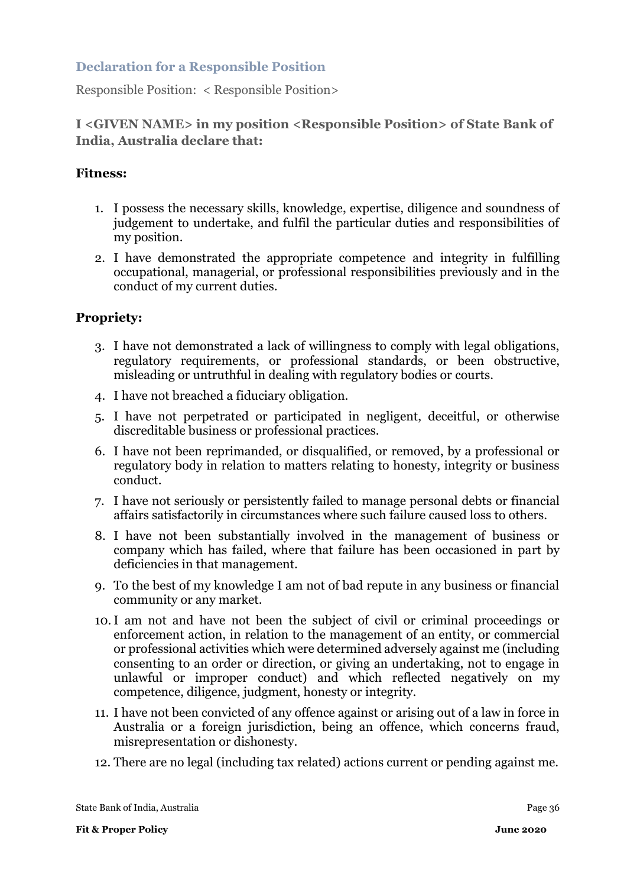### **Declaration for a Responsible Position**

Responsible Position: < Responsible Position>

### **I <GIVEN NAME> in my position <Responsible Position> of State Bank of India, Australia declare that:**

### **Fitness:**

- 1. I possess the necessary skills, knowledge, expertise, diligence and soundness of judgement to undertake, and fulfil the particular duties and responsibilities of my position.
- 2. I have demonstrated the appropriate competence and integrity in fulfilling occupational, managerial, or professional responsibilities previously and in the conduct of my current duties.

#### **Propriety:**

- 3. I have not demonstrated a lack of willingness to comply with legal obligations, regulatory requirements, or professional standards, or been obstructive, misleading or untruthful in dealing with regulatory bodies or courts.
- 4. I have not breached a fiduciary obligation.
- 5. I have not perpetrated or participated in negligent, deceitful, or otherwise discreditable business or professional practices.
- 6. I have not been reprimanded, or disqualified, or removed, by a professional or regulatory body in relation to matters relating to honesty, integrity or business conduct.
- 7. I have not seriously or persistently failed to manage personal debts or financial affairs satisfactorily in circumstances where such failure caused loss to others.
- 8. I have not been substantially involved in the management of business or company which has failed, where that failure has been occasioned in part by deficiencies in that management.
- 9. To the best of my knowledge I am not of bad repute in any business or financial community or any market.
- 10.I am not and have not been the subject of civil or criminal proceedings or enforcement action, in relation to the management of an entity, or commercial or professional activities which were determined adversely against me (including consenting to an order or direction, or giving an undertaking, not to engage in unlawful or improper conduct) and which reflected negatively on my competence, diligence, judgment, honesty or integrity.
- 11. I have not been convicted of any offence against or arising out of a law in force in Australia or a foreign jurisdiction, being an offence, which concerns fraud, misrepresentation or dishonesty.
- 12. There are no legal (including tax related) actions current or pending against me.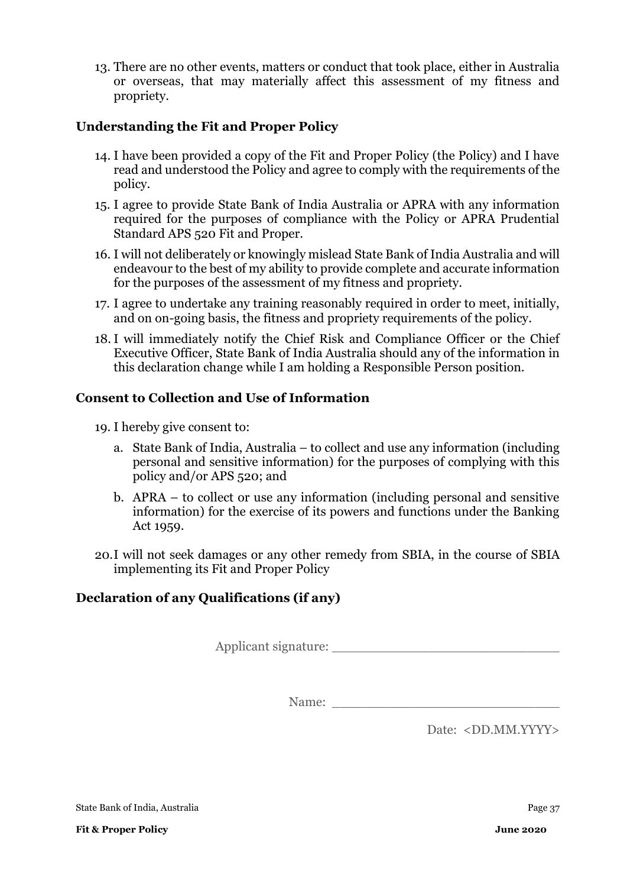13. There are no other events, matters or conduct that took place, either in Australia or overseas, that may materially affect this assessment of my fitness and propriety.

### **Understanding the Fit and Proper Policy**

- 14. I have been provided a copy of the Fit and Proper Policy (the Policy) and I have read and understood the Policy and agree to comply with the requirements of the policy.
- 15. I agree to provide State Bank of India Australia or APRA with any information required for the purposes of compliance with the Policy or APRA Prudential Standard APS 520 Fit and Proper.
- 16. I will not deliberately or knowingly mislead State Bank of India Australia and will endeavour to the best of my ability to provide complete and accurate information for the purposes of the assessment of my fitness and propriety.
- 17. I agree to undertake any training reasonably required in order to meet, initially, and on on-going basis, the fitness and propriety requirements of the policy.
- 18. I will immediately notify the Chief Risk and Compliance Officer or the Chief Executive Officer, State Bank of India Australia should any of the information in this declaration change while I am holding a Responsible Person position.

## **Consent to Collection and Use of Information**

- 19. I hereby give consent to:
	- a. State Bank of India, Australia to collect and use any information (including personal and sensitive information) for the purposes of complying with this policy and/or APS 520; and
	- b. APRA to collect or use any information (including personal and sensitive information) for the exercise of its powers and functions under the Banking Act 1959.
- 20.I will not seek damages or any other remedy from SBIA, in the course of SBIA implementing its Fit and Proper Policy

## **Declaration of any Qualifications (if any)**

Applicant signature: \_\_\_\_\_\_\_\_\_\_\_\_\_\_\_\_\_\_\_\_\_\_\_\_\_\_\_\_

Name:

Date: <DD.MM.YYYY>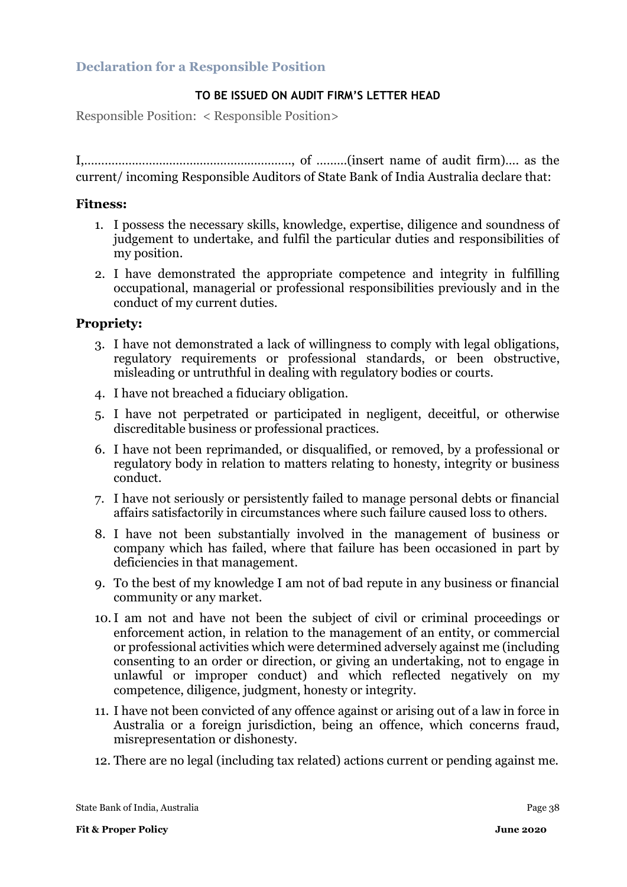#### **TO BE ISSUED ON AUDIT FIRM'S LETTER HEAD**

Responsible Position: < Responsible Position>

I,……………………………………………………., of ………(insert name of audit firm)…. as the current/ incoming Responsible Auditors of State Bank of India Australia declare that:

#### **Fitness:**

- 1. I possess the necessary skills, knowledge, expertise, diligence and soundness of judgement to undertake, and fulfil the particular duties and responsibilities of my position.
- 2. I have demonstrated the appropriate competence and integrity in fulfilling occupational, managerial or professional responsibilities previously and in the conduct of my current duties.

#### **Propriety:**

- 3. I have not demonstrated a lack of willingness to comply with legal obligations, regulatory requirements or professional standards, or been obstructive, misleading or untruthful in dealing with regulatory bodies or courts.
- 4. I have not breached a fiduciary obligation.
- 5. I have not perpetrated or participated in negligent, deceitful, or otherwise discreditable business or professional practices.
- 6. I have not been reprimanded, or disqualified, or removed, by a professional or regulatory body in relation to matters relating to honesty, integrity or business conduct.
- 7. I have not seriously or persistently failed to manage personal debts or financial affairs satisfactorily in circumstances where such failure caused loss to others.
- 8. I have not been substantially involved in the management of business or company which has failed, where that failure has been occasioned in part by deficiencies in that management.
- 9. To the best of my knowledge I am not of bad repute in any business or financial community or any market.
- 10.I am not and have not been the subject of civil or criminal proceedings or enforcement action, in relation to the management of an entity, or commercial or professional activities which were determined adversely against me (including consenting to an order or direction, or giving an undertaking, not to engage in unlawful or improper conduct) and which reflected negatively on my competence, diligence, judgment, honesty or integrity.
- 11. I have not been convicted of any offence against or arising out of a law in force in Australia or a foreign jurisdiction, being an offence, which concerns fraud, misrepresentation or dishonesty.
- 12. There are no legal (including tax related) actions current or pending against me.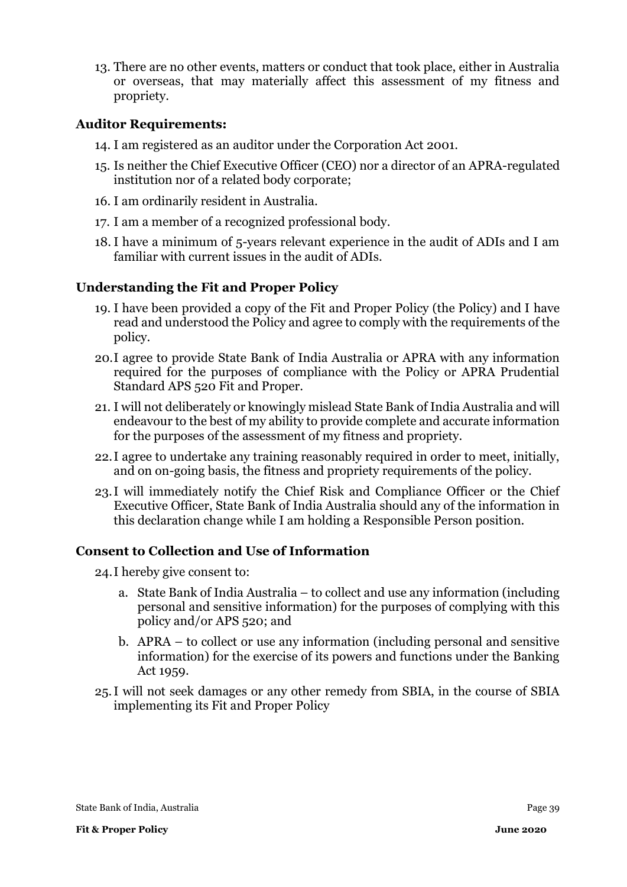13. There are no other events, matters or conduct that took place, either in Australia or overseas, that may materially affect this assessment of my fitness and propriety.

#### **Auditor Requirements:**

- 14. I am registered as an auditor under the Corporation Act 2001.
- 15. Is neither the Chief Executive Officer (CEO) nor a director of an APRA-regulated institution nor of a related body corporate;
- 16. I am ordinarily resident in Australia.
- 17. I am a member of a recognized professional body.
- 18. I have a minimum of 5-years relevant experience in the audit of ADIs and I am familiar with current issues in the audit of ADIs.

### **Understanding the Fit and Proper Policy**

- 19. I have been provided a copy of the Fit and Proper Policy (the Policy) and I have read and understood the Policy and agree to comply with the requirements of the policy.
- 20.I agree to provide State Bank of India Australia or APRA with any information required for the purposes of compliance with the Policy or APRA Prudential Standard APS 520 Fit and Proper.
- 21. I will not deliberately or knowingly mislead State Bank of India Australia and will endeavour to the best of my ability to provide complete and accurate information for the purposes of the assessment of my fitness and propriety.
- 22.I agree to undertake any training reasonably required in order to meet, initially, and on on-going basis, the fitness and propriety requirements of the policy.
- 23.I will immediately notify the Chief Risk and Compliance Officer or the Chief Executive Officer, State Bank of India Australia should any of the information in this declaration change while I am holding a Responsible Person position.

### **Consent to Collection and Use of Information**

24.I hereby give consent to:

- a. State Bank of India Australia to collect and use any information (including personal and sensitive information) for the purposes of complying with this policy and/or APS 520; and
- b. APRA to collect or use any information (including personal and sensitive information) for the exercise of its powers and functions under the Banking Act 1959.
- 25.I will not seek damages or any other remedy from SBIA, in the course of SBIA implementing its Fit and Proper Policy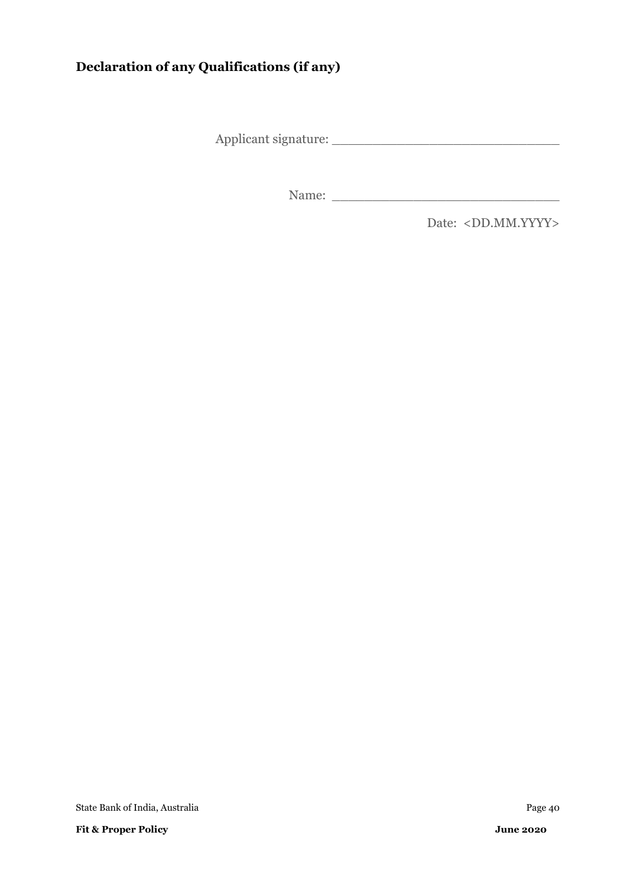# **Declaration of any Qualifications (if any)**

Applicant signature: \_\_\_\_\_\_\_\_\_\_\_\_\_\_\_\_\_\_\_\_\_\_\_\_\_\_\_\_

Name:

Date: <DD.MM.YYYY>